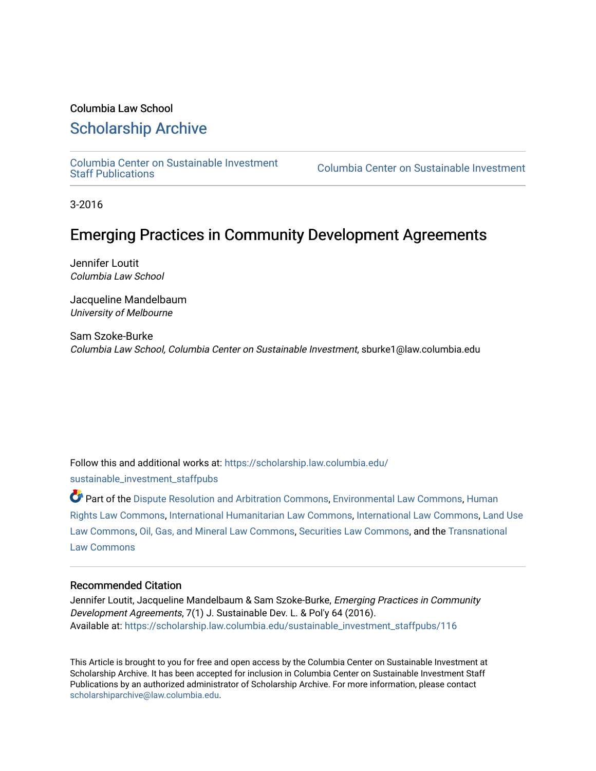# Columbia Law School

# [Scholarship Archive](https://scholarship.law.columbia.edu/)

[Columbia Center on Sustainable Investment](https://scholarship.law.columbia.edu/sustainable_investment_staffpubs) 

Columbia Center on Sustainable Investment

3-2016

# Emerging Practices in Community Development Agreements

Jennifer Loutit Columbia Law School

Jacqueline Mandelbaum University of Melbourne

Sam Szoke-Burke Columbia Law School, Columbia Center on Sustainable Investment, sburke1@law.columbia.edu

Follow this and additional works at: [https://scholarship.law.columbia.edu/](https://scholarship.law.columbia.edu/sustainable_investment_staffpubs?utm_source=scholarship.law.columbia.edu%2Fsustainable_investment_staffpubs%2F116&utm_medium=PDF&utm_campaign=PDFCoverPages) [sustainable\\_investment\\_staffpubs](https://scholarship.law.columbia.edu/sustainable_investment_staffpubs?utm_source=scholarship.law.columbia.edu%2Fsustainable_investment_staffpubs%2F116&utm_medium=PDF&utm_campaign=PDFCoverPages)

Part of the [Dispute Resolution and Arbitration Commons,](http://network.bepress.com/hgg/discipline/890?utm_source=scholarship.law.columbia.edu%2Fsustainable_investment_staffpubs%2F116&utm_medium=PDF&utm_campaign=PDFCoverPages) [Environmental Law Commons](http://network.bepress.com/hgg/discipline/599?utm_source=scholarship.law.columbia.edu%2Fsustainable_investment_staffpubs%2F116&utm_medium=PDF&utm_campaign=PDFCoverPages), [Human](http://network.bepress.com/hgg/discipline/847?utm_source=scholarship.law.columbia.edu%2Fsustainable_investment_staffpubs%2F116&utm_medium=PDF&utm_campaign=PDFCoverPages)  [Rights Law Commons,](http://network.bepress.com/hgg/discipline/847?utm_source=scholarship.law.columbia.edu%2Fsustainable_investment_staffpubs%2F116&utm_medium=PDF&utm_campaign=PDFCoverPages) [International Humanitarian Law Commons](http://network.bepress.com/hgg/discipline/1330?utm_source=scholarship.law.columbia.edu%2Fsustainable_investment_staffpubs%2F116&utm_medium=PDF&utm_campaign=PDFCoverPages), [International Law Commons,](http://network.bepress.com/hgg/discipline/609?utm_source=scholarship.law.columbia.edu%2Fsustainable_investment_staffpubs%2F116&utm_medium=PDF&utm_campaign=PDFCoverPages) [Land Use](http://network.bepress.com/hgg/discipline/852?utm_source=scholarship.law.columbia.edu%2Fsustainable_investment_staffpubs%2F116&utm_medium=PDF&utm_campaign=PDFCoverPages)  [Law Commons,](http://network.bepress.com/hgg/discipline/852?utm_source=scholarship.law.columbia.edu%2Fsustainable_investment_staffpubs%2F116&utm_medium=PDF&utm_campaign=PDFCoverPages) [Oil, Gas, and Mineral Law Commons,](http://network.bepress.com/hgg/discipline/864?utm_source=scholarship.law.columbia.edu%2Fsustainable_investment_staffpubs%2F116&utm_medium=PDF&utm_campaign=PDFCoverPages) [Securities Law Commons,](http://network.bepress.com/hgg/discipline/619?utm_source=scholarship.law.columbia.edu%2Fsustainable_investment_staffpubs%2F116&utm_medium=PDF&utm_campaign=PDFCoverPages) and the [Transnational](http://network.bepress.com/hgg/discipline/1123?utm_source=scholarship.law.columbia.edu%2Fsustainable_investment_staffpubs%2F116&utm_medium=PDF&utm_campaign=PDFCoverPages) [Law Commons](http://network.bepress.com/hgg/discipline/1123?utm_source=scholarship.law.columbia.edu%2Fsustainable_investment_staffpubs%2F116&utm_medium=PDF&utm_campaign=PDFCoverPages) 

## Recommended Citation

Jennifer Loutit, Jacqueline Mandelbaum & Sam Szoke-Burke, Emerging Practices in Community Development Agreements, 7(1) J. Sustainable Dev. L. & Pol'y 64 (2016). Available at: [https://scholarship.law.columbia.edu/sustainable\\_investment\\_staffpubs/116](https://scholarship.law.columbia.edu/sustainable_investment_staffpubs/116?utm_source=scholarship.law.columbia.edu%2Fsustainable_investment_staffpubs%2F116&utm_medium=PDF&utm_campaign=PDFCoverPages) 

This Article is brought to you for free and open access by the Columbia Center on Sustainable Investment at Scholarship Archive. It has been accepted for inclusion in Columbia Center on Sustainable Investment Staff Publications by an authorized administrator of Scholarship Archive. For more information, please contact [scholarshiparchive@law.columbia.edu](mailto:scholarshiparchive@law.columbia.edu).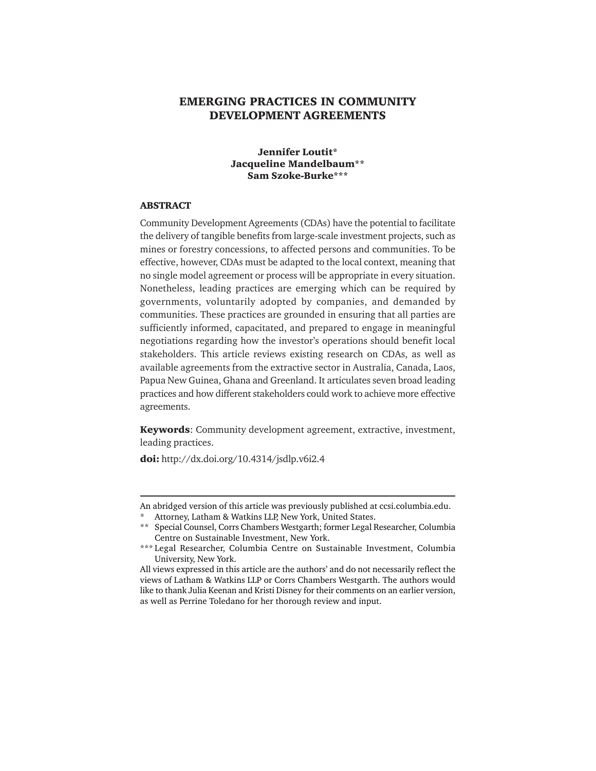# **EMERGING PRACTICES IN COMMUNITY DEVELOPMENT AGREEMENTS**

**Jennifer Loutit\* Jacqueline Mandelbaum\*\* Sam Szoke-Burke\*\*\***

#### **ABSTRACT**

Community Development Agreements (CDAs) have the potential to facilitate the delivery of tangible benefits from large-scale investment projects, such as mines or forestry concessions, to affected persons and communities. To be effective, however, CDAs must be adapted to the local context, meaning that no single model agreement or process will be appropriate in every situation. Nonetheless, leading practices are emerging which can be required by governments, voluntarily adopted by companies, and demanded by communities. These practices are grounded in ensuring that all parties are sufficiently informed, capacitated, and prepared to engage in meaningful negotiations regarding how the investor's operations should benefit local stakeholders. This article reviews existing research on CDAs, as well as available agreements from the extractive sector in Australia, Canada, Laos, Papua New Guinea, Ghana and Greenland. It articulates seven broad leading practices and how different stakeholders could work to achieve more effective agreements.

**Keywords**: Community development agreement, extractive, investment, leading practices.

**doi:** http://dx.doi.org/10.4314/jsdlp.v6i2.4

An abridged version of this article was previously published at ccsi.columbia.edu.

Attorney, Latham & Watkins LLP, New York, United States.

<sup>\*\*</sup> Special Counsel, Corrs Chambers Westgarth; former Legal Researcher, Columbia Centre on Sustainable Investment, New York.

<sup>\*\*\*</sup> Legal Researcher, Columbia Centre on Sustainable Investment, Columbia University, New York.

All views expressed in this article are the authors' and do not necessarily reflect the views of Latham & Watkins LLP or Corrs Chambers Westgarth. The authors would like to thank Julia Keenan and Kristi Disney for their comments on an earlier version, as well as Perrine Toledano for her thorough review and input.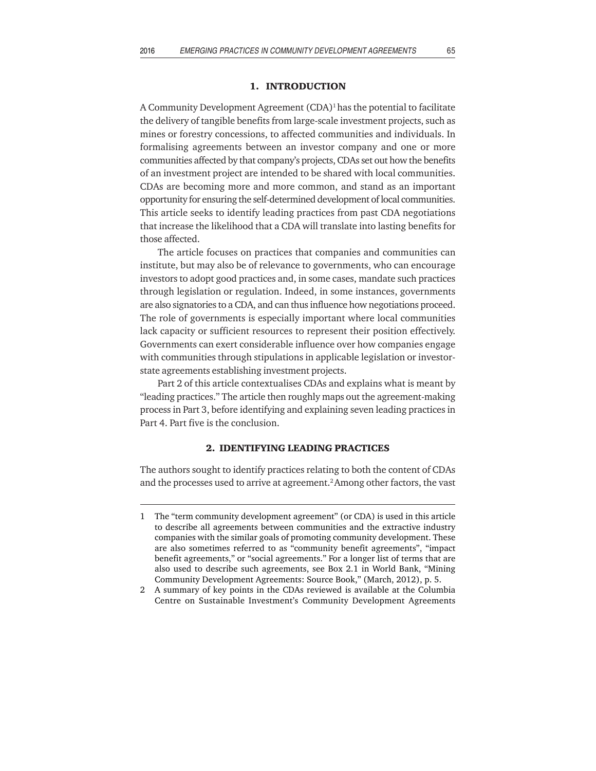### **1. INTRODUCTION**

A Community Development Agreement  $(CDA)^1$  has the potential to facilitate the delivery of tangible benefits from large-scale investment projects, such as mines or forestry concessions, to affected communities and individuals. In formalising agreements between an investor company and one or more communities affected by that company's projects, CDAs set out how the benefits of an investment project are intended to be shared with local communities. CDAs are becoming more and more common, and stand as an important opportunity for ensuring the self-determined development of local communities. This article seeks to identify leading practices from past CDA negotiations that increase the likelihood that a CDA will translate into lasting benefits for those affected.

The article focuses on practices that companies and communities can institute, but may also be of relevance to governments, who can encourage investors to adopt good practices and, in some cases, mandate such practices through legislation or regulation. Indeed, in some instances, governments are also signatories to a CDA, and can thus influence how negotiations proceed. The role of governments is especially important where local communities lack capacity or sufficient resources to represent their position effectively. Governments can exert considerable influence over how companies engage with communities through stipulations in applicable legislation or investorstate agreements establishing investment projects.

Part 2 of this article contextualises CDAs and explains what is meant by "leading practices." The article then roughly maps out the agreement-making process in Part 3, before identifying and explaining seven leading practices in Part 4. Part five is the conclusion.

### **2. IDENTIFYING LEADING PRACTICES**

The authors sought to identify practices relating to both the content of CDAs and the processes used to arrive at agreement.<sup>2</sup> Among other factors, the vast

<sup>1</sup> The "term community development agreement" (or CDA) is used in this article to describe all agreements between communities and the extractive industry companies with the similar goals of promoting community development. These are also sometimes referred to as "community benefit agreements", "impact benefit agreements," or "social agreements." For a longer list of terms that are also used to describe such agreements, see Box 2.1 in World Bank, "Mining Community Development Agreements: Source Book," (March, 2012), p. 5.

<sup>2</sup> A summary of key points in the CDAs reviewed is available at the Columbia Centre on Sustainable Investment's Community Development Agreements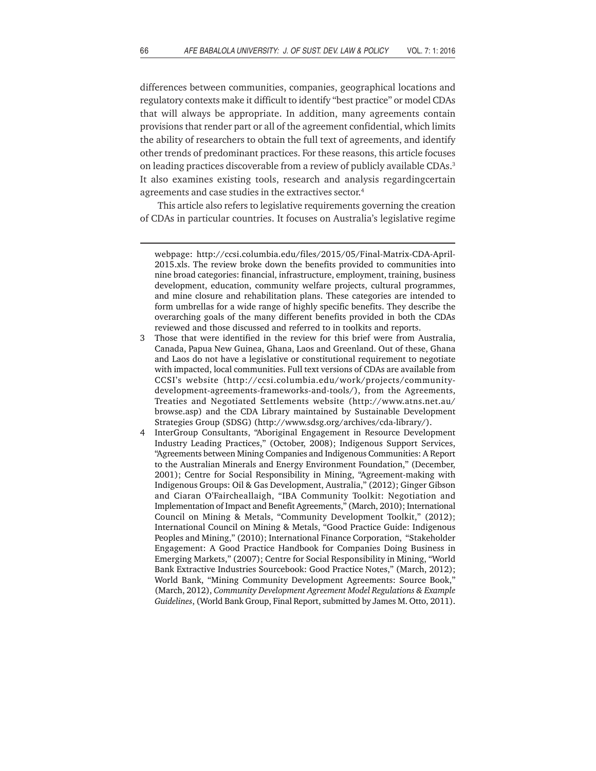differences between communities, companies, geographical locations and regulatory contexts make it difficult to identify "best practice" or model CDAs that will always be appropriate. In addition, many agreements contain provisions that render part or all of the agreement confidential, which limits the ability of researchers to obtain the full text of agreements, and identify other trends of predominant practices. For these reasons, this article focuses on leading practices discoverable from a review of publicly available CDAs.<sup>3</sup> It also examines existing tools, research and analysis regardingcertain agreements and case studies in the extractives sector.<sup>4</sup>

This article also refers to legislative requirements governing the creation of CDAs in particular countries. It focuses on Australia's legislative regime

4 InterGroup Consultants, "Aboriginal Engagement in Resource Development Industry Leading Practices," (October, 2008); Indigenous Support Services, "Agreements between Mining Companies and Indigenous Communities: A Report to the Australian Minerals and Energy Environment Foundation," (December, 2001); Centre for Social Responsibility in Mining, "Agreement-making with Indigenous Groups: Oil & Gas Development, Australia," (2012); Ginger Gibson and Ciaran O'Faircheallaigh, "IBA Community Toolkit: Negotiation and Implementation of Impact and Benefit Agreements," (March, 2010); International Council on Mining & Metals, "Community Development Toolkit," (2012); International Council on Mining & Metals, "Good Practice Guide: Indigenous Peoples and Mining," (2010); International Finance Corporation, "Stakeholder Engagement: A Good Practice Handbook for Companies Doing Business in Emerging Markets," (2007); Centre for Social Responsibility in Mining, "World Bank Extractive Industries Sourcebook: Good Practice Notes," (March, 2012); World Bank, "Mining Community Development Agreements: Source Book," (March, 2012), *Community Development Agreement Model Regulations & Example Guidelines*, (World Bank Group, Final Report, submitted by James M. Otto, 2011).

webpage: http://ccsi.columbia.edu/files/2015/05/Final-Matrix-CDA-April-2015.xls. The review broke down the benefits provided to communities into nine broad categories: financial, infrastructure, employment, training, business development, education, community welfare projects, cultural programmes, and mine closure and rehabilitation plans. These categories are intended to form umbrellas for a wide range of highly specific benefits. They describe the overarching goals of the many different benefits provided in both the CDAs reviewed and those discussed and referred to in toolkits and reports.

<sup>3</sup> Those that were identified in the review for this brief were from Australia, Canada, Papua New Guinea, Ghana, Laos and Greenland. Out of these, Ghana and Laos do not have a legislative or constitutional requirement to negotiate with impacted, local communities. Full text versions of CDAs are available from CCSI's website (http://ccsi.columbia.edu/work/projects/communitydevelopment-agreements-frameworks-and-tools/), from the Agreements, Treaties and Negotiated Settlements website (http://www.atns.net.au/ browse.asp) and the CDA Library maintained by Sustainable Development Strategies Group (SDSG) (http://www.sdsg.org/archives/cda-library/).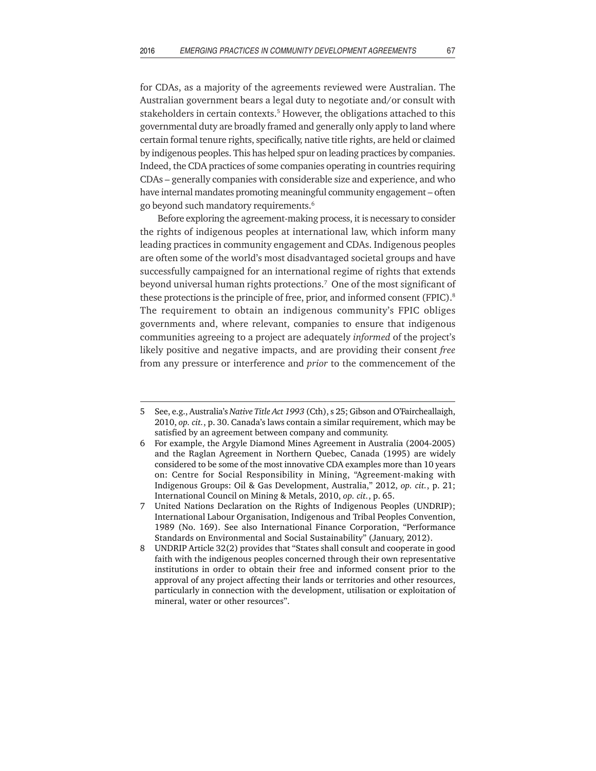for CDAs, as a majority of the agreements reviewed were Australian. The Australian government bears a legal duty to negotiate and/or consult with stakeholders in certain contexts.<sup>5</sup> However, the obligations attached to this governmental duty are broadly framed and generally only apply to land where certain formal tenure rights, specifically, native title rights, are held or claimed by indigenous peoples. This has helped spur on leading practices by companies. Indeed, the CDA practices of some companies operating in countries requiring CDAs – generally companies with considerable size and experience, and who have internal mandates promoting meaningful community engagement – often go beyond such mandatory requirements.6

Before exploring the agreement-making process, it is necessary to consider the rights of indigenous peoples at international law, which inform many leading practices in community engagement and CDAs. Indigenous peoples are often some of the world's most disadvantaged societal groups and have successfully campaigned for an international regime of rights that extends beyond universal human rights protections.7 One of the most significant of these protections is the principle of free, prior, and informed consent (FPIC).<sup>8</sup> The requirement to obtain an indigenous community's FPIC obliges governments and, where relevant, companies to ensure that indigenous communities agreeing to a project are adequately *informed* of the project's likely positive and negative impacts, and are providing their consent *free* from any pressure or interference and *prior* to the commencement of the

<sup>5</sup> See, e.g., Australia's *Native Title Act 1993* (Cth), s 25; Gibson and O'Faircheallaigh, 2010, *op. cit.*, p. 30. Canada's laws contain a similar requirement, which may be satisfied by an agreement between company and community.

<sup>6</sup> For example, the Argyle Diamond Mines Agreement in Australia (2004-2005) and the Raglan Agreement in Northern Quebec, Canada (1995) are widely considered to be some of the most innovative CDA examples more than 10 years on: Centre for Social Responsibility in Mining, "Agreement-making with Indigenous Groups: Oil & Gas Development, Australia," 2012, *op. cit.*, p. 21; International Council on Mining & Metals, 2010, *op. cit.*, p. 65.

<sup>7</sup> United Nations Declaration on the Rights of Indigenous Peoples (UNDRIP); International Labour Organisation, Indigenous and Tribal Peoples Convention, 1989 (No. 169). See also International Finance Corporation, "Performance Standards on Environmental and Social Sustainability" (January, 2012).

<sup>8</sup> UNDRIP Article 32(2) provides that "States shall consult and cooperate in good faith with the indigenous peoples concerned through their own representative institutions in order to obtain their free and informed consent prior to the approval of any project affecting their lands or territories and other resources, particularly in connection with the development, utilisation or exploitation of mineral, water or other resources".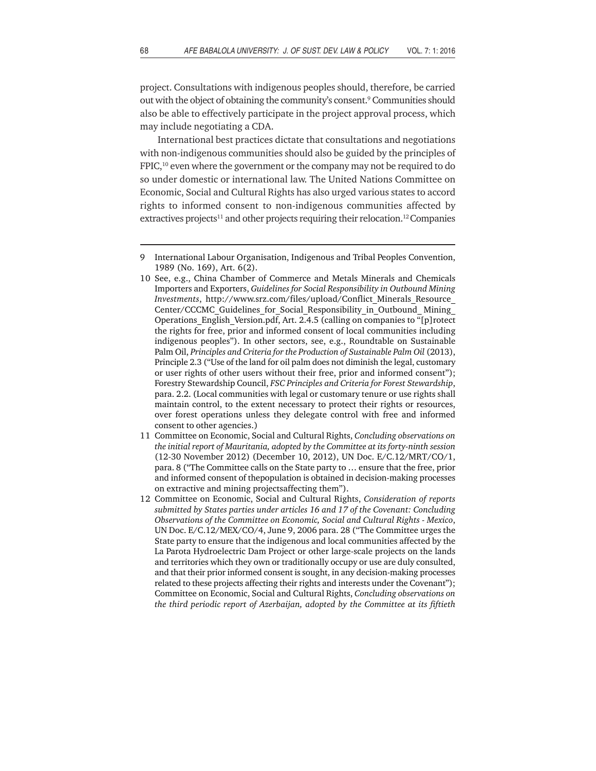project. Consultations with indigenous peoples should, therefore, be carried out with the object of obtaining the community's consent.<sup>9</sup> Communities should also be able to effectively participate in the project approval process, which may include negotiating a CDA.

International best practices dictate that consultations and negotiations with non-indigenous communities should also be guided by the principles of FPIC,<sup>10</sup> even where the government or the company may not be required to do so under domestic or international law. The United Nations Committee on Economic, Social and Cultural Rights has also urged various states to accord rights to informed consent to non-indigenous communities affected by extractives projects<sup>11</sup> and other projects requiring their relocation.<sup>12</sup> Companies

<sup>9</sup> International Labour Organisation, Indigenous and Tribal Peoples Convention, 1989 (No. 169), Art. 6(2).

<sup>10</sup> See, e.g., China Chamber of Commerce and Metals Minerals and Chemicals Importers and Exporters, *Guidelines for Social Responsibility in Outbound Mining Investments*, http://www.srz.com/files/upload/Conflict\_Minerals\_Resource\_ Center/CCCMC Guidelines for Social Responsibility in Outbound Mining Operations\_English\_Version.pdf, Art. 2.4.5 (calling on companies to "[p]rotect the rights for free, prior and informed consent of local communities including indigenous peoples"). In other sectors, see, e.g., Roundtable on Sustainable Palm Oil, *Principles and Criteria for the Production of Sustainable Palm Oil* (2013), Principle 2.3 ("Use of the land for oil palm does not diminish the legal, customary or user rights of other users without their free, prior and informed consent"); Forestry Stewardship Council, *FSC Principles and Criteria for Forest Stewardship*, para. 2.2. (Local communities with legal or customary tenure or use rights shall maintain control, to the extent necessary to protect their rights or resources, over forest operations unless they delegate control with free and informed consent to other agencies.)

<sup>11</sup> Committee on Economic, Social and Cultural Rights, *Concluding observations on the initial report of Mauritania, adopted by the Committee at its forty-ninth session* (12-30 November 2012) (December 10, 2012), UN Doc. E/C.12/MRT/CO/1, para. 8 ("The Committee calls on the State party to … ensure that the free, prior and informed consent of thepopulation is obtained in decision-making processes on extractive and mining projectsaffecting them").

<sup>12</sup> Committee on Economic, Social and Cultural Rights, *Consideration of reports submitted by States parties under articles 16 and 17 of the Covenant: Concluding Observations of the Committee on Economic, Social and Cultural Rights - Mexico*, UN Doc. E/C.12/MEX/CO/4, June 9, 2006 para. 28 ("The Committee urges the State party to ensure that the indigenous and local communities affected by the La Parota Hydroelectric Dam Project or other large-scale projects on the lands and territories which they own or traditionally occupy or use are duly consulted, and that their prior informed consent is sought, in any decision-making processes related to these projects affecting their rights and interests under the Covenant"); Committee on Economic, Social and Cultural Rights, *Concluding observations on the third periodic report of Azerbaijan, adopted by the Committee at its fiftieth*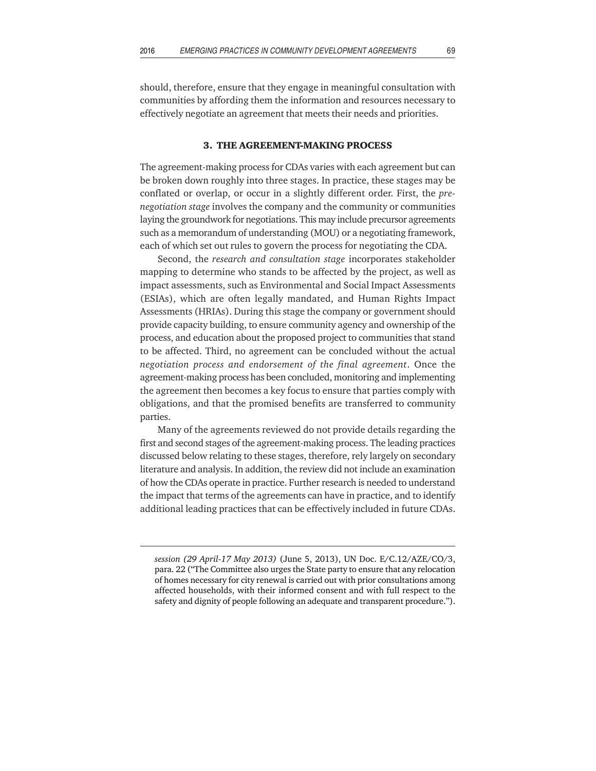should, therefore, ensure that they engage in meaningful consultation with communities by affording them the information and resources necessary to effectively negotiate an agreement that meets their needs and priorities.

#### **3. THE AGREEMENT-MAKING PROCESS**

The agreement-making process for CDAs varies with each agreement but can be broken down roughly into three stages. In practice, these stages may be conflated or overlap, or occur in a slightly different order. First, the *prenegotiation stage* involves the company and the community or communities laying the groundwork for negotiations. This may include precursor agreements such as a memorandum of understanding (MOU) or a negotiating framework, each of which set out rules to govern the process for negotiating the CDA.

Second, the *research and consultation stage* incorporates stakeholder mapping to determine who stands to be affected by the project, as well as impact assessments, such as Environmental and Social Impact Assessments (ESIAs), which are often legally mandated, and Human Rights Impact Assessments (HRIAs). During this stage the company or government should provide capacity building, to ensure community agency and ownership of the process, and education about the proposed project to communities that stand to be affected. Third, no agreement can be concluded without the actual *negotiation process and endorsement of the final agreement*. Once the agreement-making process has been concluded, monitoring and implementing the agreement then becomes a key focus to ensure that parties comply with obligations, and that the promised benefits are transferred to community parties.

Many of the agreements reviewed do not provide details regarding the first and second stages of the agreement-making process. The leading practices discussed below relating to these stages, therefore, rely largely on secondary literature and analysis. In addition, the review did not include an examination of how the CDAs operate in practice. Further research is needed to understand the impact that terms of the agreements can have in practice, and to identify additional leading practices that can be effectively included in future CDAs.

*session (29 April-17 May 2013)* (June 5, 2013), UN Doc. E/C.12/AZE/CO/3, para. 22 ("The Committee also urges the State party to ensure that any relocation of homes necessary for city renewal is carried out with prior consultations among affected households, with their informed consent and with full respect to the safety and dignity of people following an adequate and transparent procedure.").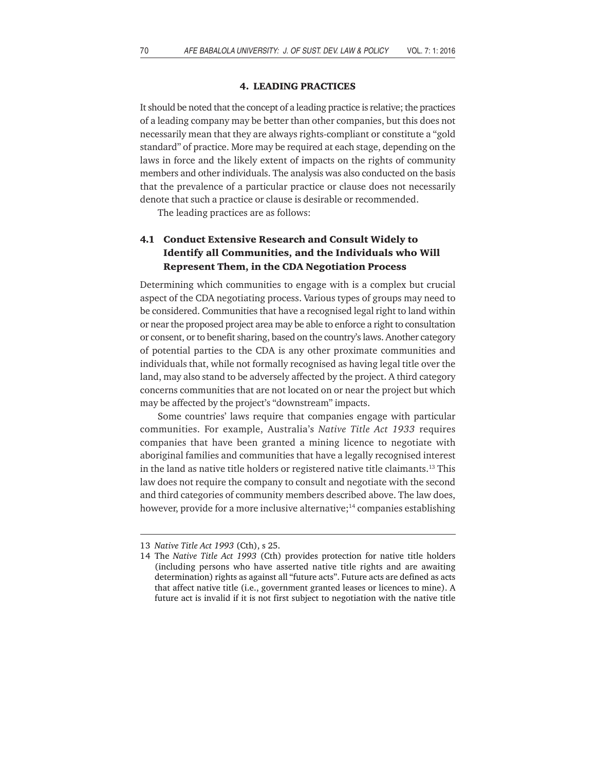### **4. LEADING PRACTICES**

It should be noted that the concept of a leading practice is relative; the practices of a leading company may be better than other companies, but this does not necessarily mean that they are always rights-compliant or constitute a "gold standard" of practice. More may be required at each stage, depending on the laws in force and the likely extent of impacts on the rights of community members and other individuals. The analysis was also conducted on the basis that the prevalence of a particular practice or clause does not necessarily denote that such a practice or clause is desirable or recommended.

The leading practices are as follows:

# **4.1 Conduct Extensive Research and Consult Widely to Identify all Communities, and the Individuals who Will Represent Them, in the CDA Negotiation Process**

Determining which communities to engage with is a complex but crucial aspect of the CDA negotiating process. Various types of groups may need to be considered. Communities that have a recognised legal right to land within or near the proposed project area may be able to enforce a right to consultation or consent, or to benefit sharing, based on the country's laws. Another category of potential parties to the CDA is any other proximate communities and individuals that, while not formally recognised as having legal title over the land, may also stand to be adversely affected by the project. A third category concerns communities that are not located on or near the project but which may be affected by the project's "downstream" impacts.

Some countries' laws require that companies engage with particular communities. For example, Australia's *Native Title Act 1933* requires companies that have been granted a mining licence to negotiate with aboriginal families and communities that have a legally recognised interest in the land as native title holders or registered native title claimants.13 This law does not require the company to consult and negotiate with the second and third categories of community members described above. The law does, however, provide for a more inclusive alternative;<sup>14</sup> companies establishing

<sup>13</sup> *Native Title Act 1993* (Cth), s 25.

<sup>14</sup> The *Native Title Act 1993* (Cth) provides protection for native title holders (including persons who have asserted native title rights and are awaiting determination) rights as against all "future acts". Future acts are defined as acts that affect native title (i.e., government granted leases or licences to mine). A future act is invalid if it is not first subject to negotiation with the native title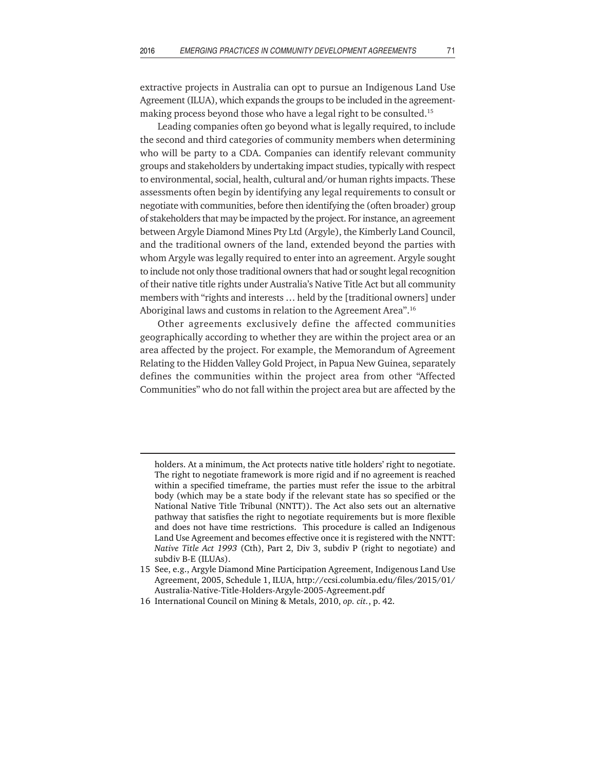extractive projects in Australia can opt to pursue an Indigenous Land Use Agreement (ILUA), which expands the groups to be included in the agreementmaking process beyond those who have a legal right to be consulted.<sup>15</sup>

Leading companies often go beyond what is legally required, to include the second and third categories of community members when determining who will be party to a CDA. Companies can identify relevant community groups and stakeholders by undertaking impact studies, typically with respect to environmental, social, health, cultural and/or human rights impacts. These assessments often begin by identifying any legal requirements to consult or negotiate with communities, before then identifying the (often broader) group of stakeholders that may be impacted by the project. For instance, an agreement between Argyle Diamond Mines Pty Ltd (Argyle), the Kimberly Land Council, and the traditional owners of the land, extended beyond the parties with whom Argyle was legally required to enter into an agreement. Argyle sought to include not only those traditional owners that had or sought legal recognition of their native title rights under Australia's Native Title Act but all community members with "rights and interests … held by the [traditional owners] under Aboriginal laws and customs in relation to the Agreement Area".<sup>16</sup>

Other agreements exclusively define the affected communities geographically according to whether they are within the project area or an area affected by the project. For example, the Memorandum of Agreement Relating to the Hidden Valley Gold Project, in Papua New Guinea, separately defines the communities within the project area from other "Affected Communities" who do not fall within the project area but are affected by the

holders. At a minimum, the Act protects native title holders' right to negotiate. The right to negotiate framework is more rigid and if no agreement is reached within a specified timeframe, the parties must refer the issue to the arbitral body (which may be a state body if the relevant state has so specified or the National Native Title Tribunal (NNTT)). The Act also sets out an alternative pathway that satisfies the right to negotiate requirements but is more flexible and does not have time restrictions. This procedure is called an Indigenous Land Use Agreement and becomes effective once it is registered with the NNTT: *Native Title Act 1993* (Cth), Part 2, Div 3, subdiv P (right to negotiate) and subdiv B-E (ILUAs).

<sup>15</sup> See, e.g., Argyle Diamond Mine Participation Agreement, Indigenous Land Use Agreement, 2005, Schedule 1, ILUA, http://ccsi.columbia.edu/files/2015/01/ Australia-Native-Title-Holders-Argyle-2005-Agreement.pdf

<sup>16</sup> International Council on Mining & Metals, 2010, *op. cit.*, p. 42.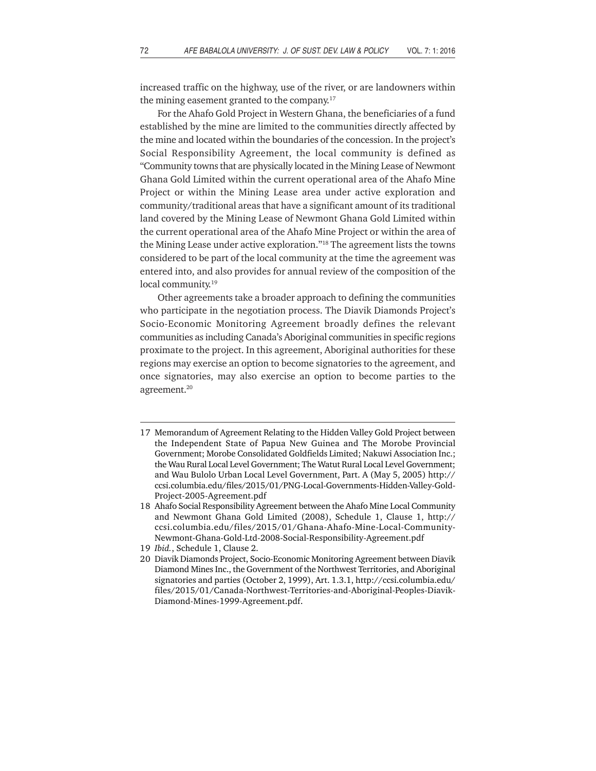increased traffic on the highway, use of the river, or are landowners within the mining easement granted to the company.17

For the Ahafo Gold Project in Western Ghana, the beneficiaries of a fund established by the mine are limited to the communities directly affected by the mine and located within the boundaries of the concession. In the project's Social Responsibility Agreement, the local community is defined as "Community towns that are physically located in the Mining Lease of Newmont Ghana Gold Limited within the current operational area of the Ahafo Mine Project or within the Mining Lease area under active exploration and community/traditional areas that have a significant amount of its traditional land covered by the Mining Lease of Newmont Ghana Gold Limited within the current operational area of the Ahafo Mine Project or within the area of the Mining Lease under active exploration."18 The agreement lists the towns considered to be part of the local community at the time the agreement was entered into, and also provides for annual review of the composition of the local community.<sup>19</sup>

Other agreements take a broader approach to defining the communities who participate in the negotiation process. The Diavik Diamonds Project's Socio-Economic Monitoring Agreement broadly defines the relevant communities as including Canada's Aboriginal communities in specific regions proximate to the project. In this agreement, Aboriginal authorities for these regions may exercise an option to become signatories to the agreement, and once signatories, may also exercise an option to become parties to the agreement.<sup>20</sup>

<sup>17</sup> Memorandum of Agreement Relating to the Hidden Valley Gold Project between the Independent State of Papua New Guinea and The Morobe Provincial Government; Morobe Consolidated Goldfields Limited; Nakuwi Association Inc.; the Wau Rural Local Level Government; The Watut Rural Local Level Government; and Wau Bulolo Urban Local Level Government, Part. A (May 5, 2005) http:// ccsi.columbia.edu/files/2015/01/PNG-Local-Governments-Hidden-Valley-Gold-Project-2005-Agreement.pdf

<sup>18</sup> Ahafo Social Responsibility Agreement between the Ahafo Mine Local Community and Newmont Ghana Gold Limited (2008), Schedule 1, Clause 1, http:// ccsi.columbia.edu/files/2015/01/Ghana-Ahafo-Mine-Local-Community-Newmont-Ghana-Gold-Ltd-2008-Social-Responsibility-Agreement.pdf

<sup>19</sup> *Ibid.*, Schedule 1, Clause 2.

<sup>20</sup> Diavik Diamonds Project, Socio-Economic Monitoring Agreement between Diavik Diamond Mines Inc., the Government of the Northwest Territories, and Aboriginal signatories and parties (October 2, 1999), Art. 1.3.1, http://ccsi.columbia.edu/ files/2015/01/Canada-Northwest-Territories-and-Aboriginal-Peoples-Diavik-Diamond-Mines-1999-Agreement.pdf.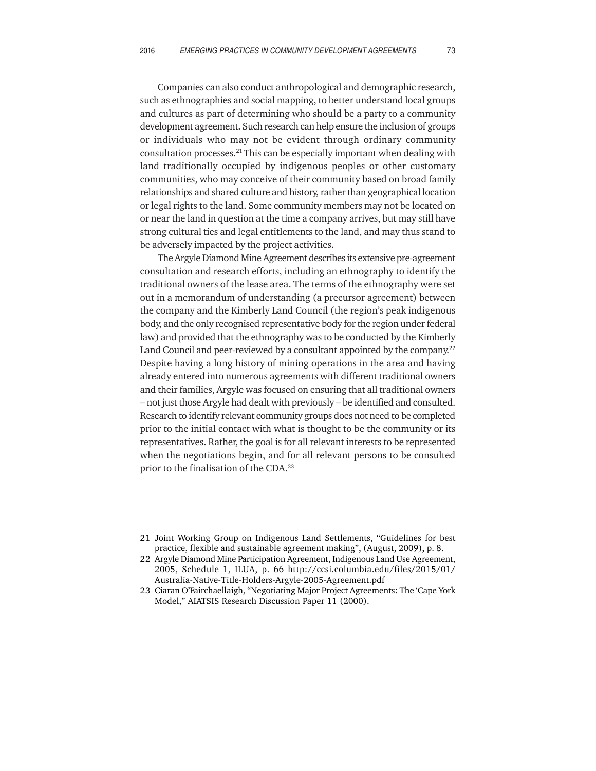Companies can also conduct anthropological and demographic research, such as ethnographies and social mapping, to better understand local groups and cultures as part of determining who should be a party to a community development agreement. Such research can help ensure the inclusion of groups or individuals who may not be evident through ordinary community consultation processes.21 This can be especially important when dealing with land traditionally occupied by indigenous peoples or other customary communities, who may conceive of their community based on broad family relationships and shared culture and history, rather than geographical location or legal rights to the land. Some community members may not be located on or near the land in question at the time a company arrives, but may still have strong cultural ties and legal entitlements to the land, and may thus stand to be adversely impacted by the project activities.

The Argyle Diamond Mine Agreement describes its extensive pre-agreement consultation and research efforts, including an ethnography to identify the traditional owners of the lease area. The terms of the ethnography were set out in a memorandum of understanding (a precursor agreement) between the company and the Kimberly Land Council (the region's peak indigenous body, and the only recognised representative body for the region under federal law) and provided that the ethnography was to be conducted by the Kimberly Land Council and peer-reviewed by a consultant appointed by the company.<sup>22</sup> Despite having a long history of mining operations in the area and having already entered into numerous agreements with different traditional owners and their families, Argyle was focused on ensuring that all traditional owners – not just those Argyle had dealt with previously – be identified and consulted. Research to identify relevant community groups does not need to be completed prior to the initial contact with what is thought to be the community or its representatives. Rather, the goal is for all relevant interests to be represented when the negotiations begin, and for all relevant persons to be consulted prior to the finalisation of the CDA.<sup>23</sup>

<sup>21</sup> Joint Working Group on Indigenous Land Settlements, "Guidelines for best practice, flexible and sustainable agreement making", (August, 2009), p. 8.

<sup>22</sup> Argyle Diamond Mine Participation Agreement, Indigenous Land Use Agreement, 2005, Schedule 1, ILUA, p. 66 http://ccsi.columbia.edu/files/2015/01/ Australia-Native-Title-Holders-Argyle-2005-Agreement.pdf

<sup>23</sup> Ciaran O'Fairchaellaigh, "Negotiating Major Project Agreements: The 'Cape York Model," AIATSIS Research Discussion Paper 11 (2000).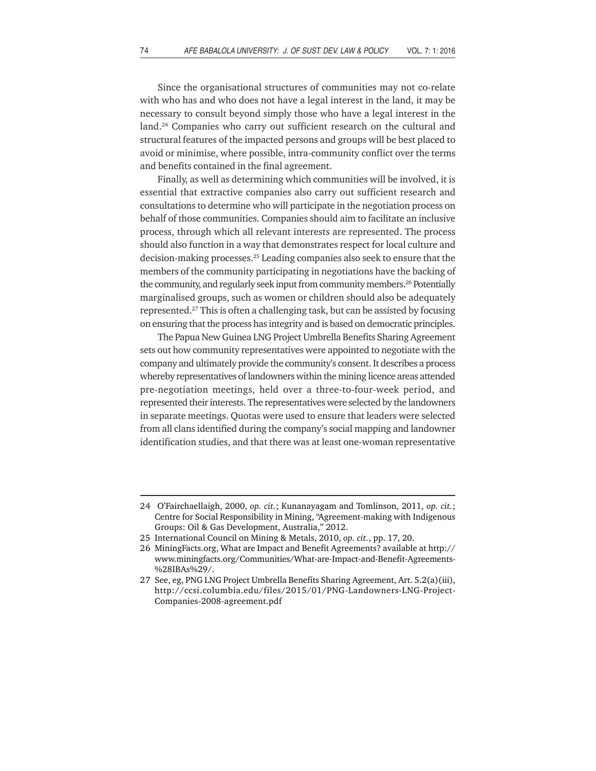Since the organisational structures of communities may not co-relate with who has and who does not have a legal interest in the land, it may be necessary to consult beyond simply those who have a legal interest in the land.<sup>24</sup> Companies who carry out sufficient research on the cultural and structural features of the impacted persons and groups will be best placed to avoid or minimise, where possible, intra-community conflict over the terms and benefits contained in the final agreement.

Finally, as well as determining which communities will be involved, it is essential that extractive companies also carry out sufficient research and consultations to determine who will participate in the negotiation process on behalf of those communities. Companies should aim to facilitate an inclusive process, through which all relevant interests are represented. The process should also function in a way that demonstrates respect for local culture and decision-making processes.25 Leading companies also seek to ensure that the members of the community participating in negotiations have the backing of the community, and regularly seek input from community members.<sup>26</sup> Potentially marginalised groups, such as women or children should also be adequately represented.<sup>27</sup> This is often a challenging task, but can be assisted by focusing on ensuring that the process has integrity and is based on democratic principles.

The Papua New Guinea LNG Project Umbrella Benefits Sharing Agreement sets out how community representatives were appointed to negotiate with the company and ultimately provide the community's consent. It describes a process whereby representatives of landowners within the mining licence areas attended pre-negotiation meetings, held over a three-to-four-week period, and represented their interests. The representatives were selected by the landowners in separate meetings. Quotas were used to ensure that leaders were selected from all clans identified during the company's social mapping and landowner identification studies, and that there was at least one-woman representative

<sup>24</sup> O'Fairchaellaigh, 2000, *op. cit.*; Kunanayagam and Tomlinson, 2011, *op. cit.*; Centre for Social Responsibility in Mining, "Agreement-making with Indigenous Groups: Oil & Gas Development, Australia," 2012.

<sup>25</sup> International Council on Mining & Metals, 2010, *op. cit.*, pp. 17, 20.

<sup>26</sup> MiningFacts.org, What are Impact and Benefit Agreements? available at http:// www.miningfacts.org/Communities/What-are-Impact-and-Benefit-Agreements- %28IBAs%29/.

<sup>27</sup> See, eg, PNG LNG Project Umbrella Benefits Sharing Agreement, Art. 5.2(a)(iii), http://ccsi.columbia.edu/files/2015/01/PNG-Landowners-LNG-Project-Companies-2008-agreement.pdf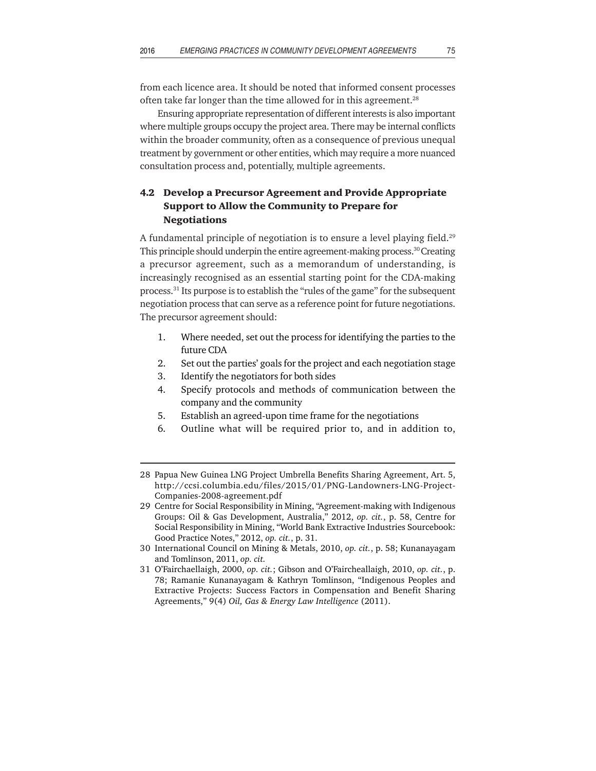from each licence area. It should be noted that informed consent processes often take far longer than the time allowed for in this agreement.<sup>28</sup>

Ensuring appropriate representation of different interests is also important where multiple groups occupy the project area. There may be internal conflicts within the broader community, often as a consequence of previous unequal treatment by government or other entities, which may require a more nuanced consultation process and, potentially, multiple agreements.

# **4.2 Develop a Precursor Agreement and Provide Appropriate Support to Allow the Community to Prepare for Negotiations**

A fundamental principle of negotiation is to ensure a level playing field.29 This principle should underpin the entire agreement-making process.<sup>30</sup> Creating a precursor agreement, such as a memorandum of understanding, is increasingly recognised as an essential starting point for the CDA-making process.31 Its purpose is to establish the "rules of the game" for the subsequent negotiation process that can serve as a reference point for future negotiations. The precursor agreement should:

- 1. Where needed, set out the process for identifying the parties to the future CDA
- 2. Set out the parties' goals for the project and each negotiation stage
- 3. Identify the negotiators for both sides
- 4. Specify protocols and methods of communication between the company and the community
- 5. Establish an agreed-upon time frame for the negotiations
- 6. Outline what will be required prior to, and in addition to,

<sup>28</sup> Papua New Guinea LNG Project Umbrella Benefits Sharing Agreement, Art. 5, http://ccsi.columbia.edu/files/2015/01/PNG-Landowners-LNG-Project-Companies-2008-agreement.pdf

<sup>29</sup> Centre for Social Responsibility in Mining, "Agreement-making with Indigenous Groups: Oil & Gas Development, Australia," 2012, *op. cit.*, p. 58, Centre for Social Responsibility in Mining, "World Bank Extractive Industries Sourcebook: Good Practice Notes," 2012, *op. cit.*, p. 31.

<sup>30</sup> International Council on Mining & Metals, 2010, *op. cit.*, p. 58; Kunanayagam and Tomlinson, 2011, *op. cit.*

<sup>31</sup> O'Fairchaellaigh, 2000, *op. cit.*; Gibson and O'Faircheallaigh, 2010, *op. cit.*, p. 78; Ramanie Kunanayagam & Kathryn Tomlinson, "Indigenous Peoples and Extractive Projects: Success Factors in Compensation and Benefit Sharing Agreements," 9(4) *Oil, Gas & Energy Law Intelligence* (2011).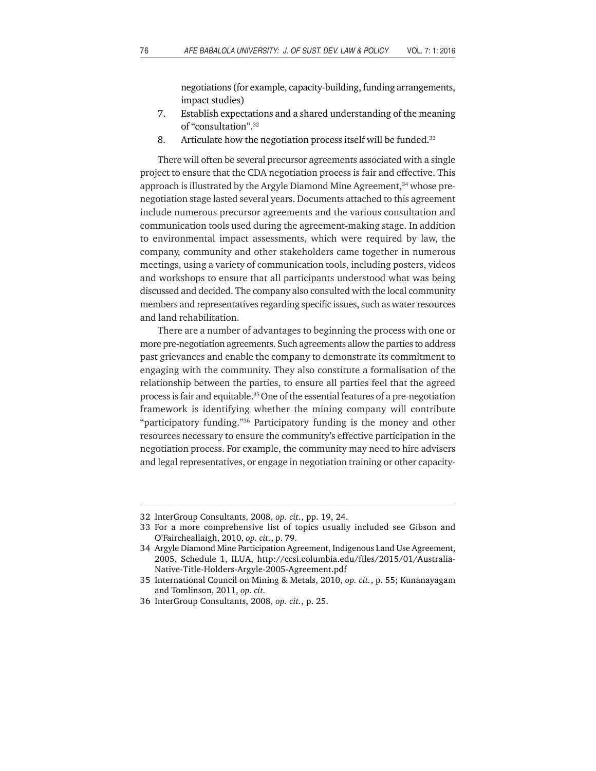negotiations (for example, capacity-building, funding arrangements, impact studies)

- 7. Establish expectations and a shared understanding of the meaning of "consultation".32
- 8. Articulate how the negotiation process itself will be funded.<sup>33</sup>

There will often be several precursor agreements associated with a single project to ensure that the CDA negotiation process is fair and effective. This approach is illustrated by the Argyle Diamond Mine Agreement,<sup>34</sup> whose prenegotiation stage lasted several years. Documents attached to this agreement include numerous precursor agreements and the various consultation and communication tools used during the agreement-making stage. In addition to environmental impact assessments, which were required by law, the company, community and other stakeholders came together in numerous meetings, using a variety of communication tools, including posters, videos and workshops to ensure that all participants understood what was being discussed and decided. The company also consulted with the local community members and representatives regarding specific issues, such as water resources and land rehabilitation.

There are a number of advantages to beginning the process with one or more pre-negotiation agreements. Such agreements allow the parties to address past grievances and enable the company to demonstrate its commitment to engaging with the community. They also constitute a formalisation of the relationship between the parties, to ensure all parties feel that the agreed process is fair and equitable.<sup>35</sup> One of the essential features of a pre-negotiation framework is identifying whether the mining company will contribute "participatory funding."36 Participatory funding is the money and other resources necessary to ensure the community's effective participation in the negotiation process. For example, the community may need to hire advisers and legal representatives, or engage in negotiation training or other capacity-

<sup>32</sup> InterGroup Consultants, 2008, *op. cit.*, pp. 19, 24.

<sup>33</sup> For a more comprehensive list of topics usually included see Gibson and O'Faircheallaigh, 2010, *op. cit.*, p. 79.

<sup>34</sup> Argyle Diamond Mine Participation Agreement, Indigenous Land Use Agreement, 2005, Schedule 1, ILUA, http://ccsi.columbia.edu/files/2015/01/Australia-Native-Title-Holders-Argyle-2005-Agreement.pdf

<sup>35</sup> International Council on Mining & Metals, 2010, *op. cit.*, p. 55; Kunanayagam and Tomlinson, 2011, *op. cit.*

<sup>36</sup> InterGroup Consultants, 2008, *op. cit.*, p. 25.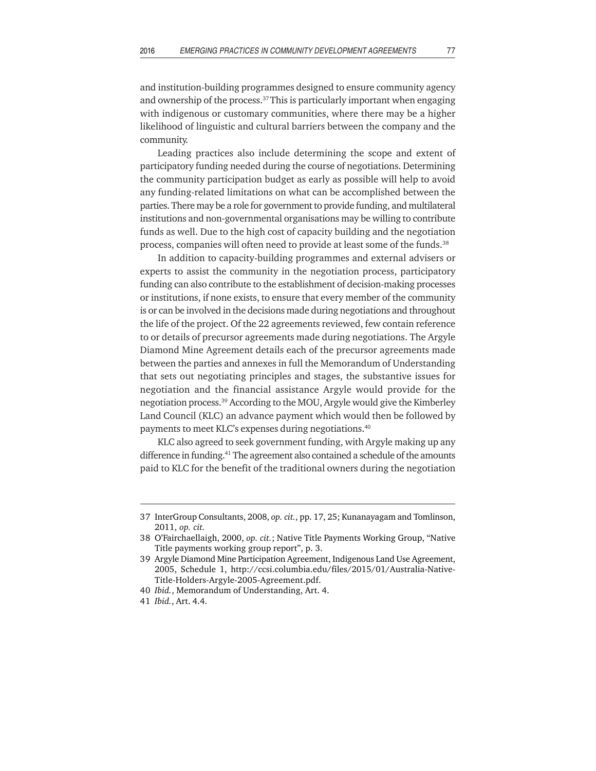and institution-building programmes designed to ensure community agency and ownership of the process.<sup>37</sup> This is particularly important when engaging with indigenous or customary communities, where there may be a higher likelihood of linguistic and cultural barriers between the company and the community.

Leading practices also include determining the scope and extent of participatory funding needed during the course of negotiations. Determining the community participation budget as early as possible will help to avoid any funding-related limitations on what can be accomplished between the parties. There may be a role for government to provide funding, and multilateral institutions and non-governmental organisations may be willing to contribute funds as well. Due to the high cost of capacity building and the negotiation process, companies will often need to provide at least some of the funds.<sup>38</sup>

In addition to capacity-building programmes and external advisers or experts to assist the community in the negotiation process, participatory funding can also contribute to the establishment of decision-making processes or institutions, if none exists, to ensure that every member of the community is or can be involved in the decisions made during negotiations and throughout the life of the project. Of the 22 agreements reviewed, few contain reference to or details of precursor agreements made during negotiations. The Argyle Diamond Mine Agreement details each of the precursor agreements made between the parties and annexes in full the Memorandum of Understanding that sets out negotiating principles and stages, the substantive issues for negotiation and the financial assistance Argyle would provide for the negotiation process.39 According to the MOU, Argyle would give the Kimberley Land Council (KLC) an advance payment which would then be followed by payments to meet KLC's expenses during negotiations.<sup>40</sup>

KLC also agreed to seek government funding, with Argyle making up any difference in funding.<sup>41</sup> The agreement also contained a schedule of the amounts paid to KLC for the benefit of the traditional owners during the negotiation

<sup>37</sup> InterGroup Consultants, 2008, *op. cit.*, pp. 17, 25; Kunanayagam and Tomlinson, 2011, *op. cit.*

<sup>38</sup> O'Fairchaellaigh, 2000, *op. cit.*; Native Title Payments Working Group, "Native Title payments working group report", p. 3.

<sup>39</sup> Argyle Diamond Mine Participation Agreement, Indigenous Land Use Agreement, 2005, Schedule 1, http://ccsi.columbia.edu/files/2015/01/Australia-Native-Title-Holders-Argyle-2005-Agreement.pdf.

<sup>40</sup> *Ibid.*, Memorandum of Understanding, Art. 4.

<sup>41</sup> *Ibid.*, Art. 4.4.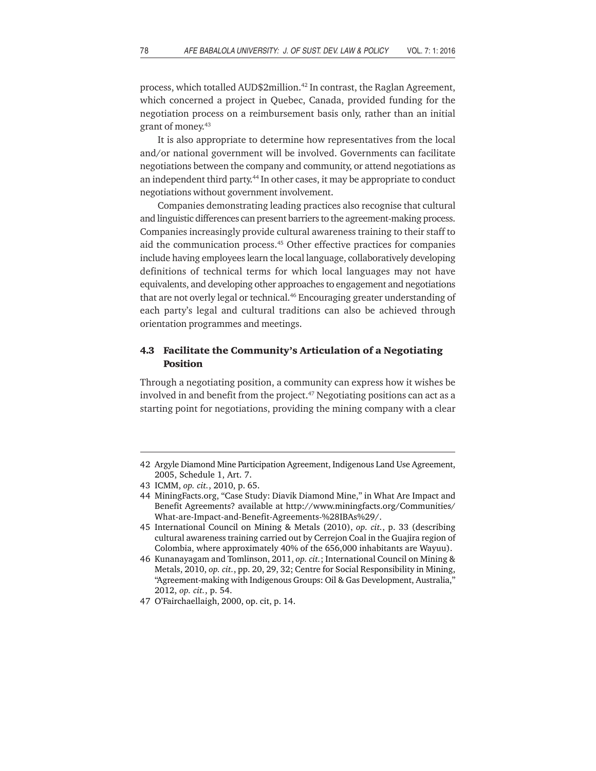process, which totalled AUD\$2million.42 In contrast, the Raglan Agreement, which concerned a project in Quebec, Canada, provided funding for the negotiation process on a reimbursement basis only, rather than an initial grant of money.43

It is also appropriate to determine how representatives from the local and/or national government will be involved. Governments can facilitate negotiations between the company and community, or attend negotiations as an independent third party.<sup>44</sup> In other cases, it may be appropriate to conduct negotiations without government involvement.

Companies demonstrating leading practices also recognise that cultural and linguistic differences can present barriers to the agreement-making process. Companies increasingly provide cultural awareness training to their staff to aid the communication process.<sup>45</sup> Other effective practices for companies include having employees learn the local language, collaboratively developing definitions of technical terms for which local languages may not have equivalents, and developing other approaches to engagement and negotiations that are not overly legal or technical.<sup>46</sup> Encouraging greater understanding of each party's legal and cultural traditions can also be achieved through orientation programmes and meetings.

## **4.3 Facilitate the Community's Articulation of a Negotiating Position**

Through a negotiating position, a community can express how it wishes be involved in and benefit from the project.<sup>47</sup> Negotiating positions can act as a starting point for negotiations, providing the mining company with a clear

<sup>42</sup> Argyle Diamond Mine Participation Agreement, Indigenous Land Use Agreement, 2005, Schedule 1, Art. 7.

<sup>43</sup> ICMM, *op. cit.*, 2010, p. 65.

<sup>44</sup> MiningFacts.org, "Case Study: Diavik Diamond Mine," in What Are Impact and Benefit Agreements? available at http://www.miningfacts.org/Communities/ What-are-Impact-and-Benefit-Agreements-%28IBAs%29/.

<sup>45</sup> International Council on Mining & Metals (2010), *op. cit.*, p. 33 (describing cultural awareness training carried out by Cerrejon Coal in the Guajira region of Colombia, where approximately 40% of the 656,000 inhabitants are Wayuu).

<sup>46</sup> Kunanayagam and Tomlinson, 2011, *op. cit.*; International Council on Mining & Metals, 2010, *op. cit.*, pp. 20, 29, 32; Centre for Social Responsibility in Mining, "Agreement-making with Indigenous Groups: Oil & Gas Development, Australia," 2012, *op. cit.*, p. 54.

<sup>47</sup> O'Fairchaellaigh, 2000, op. cit, p. 14.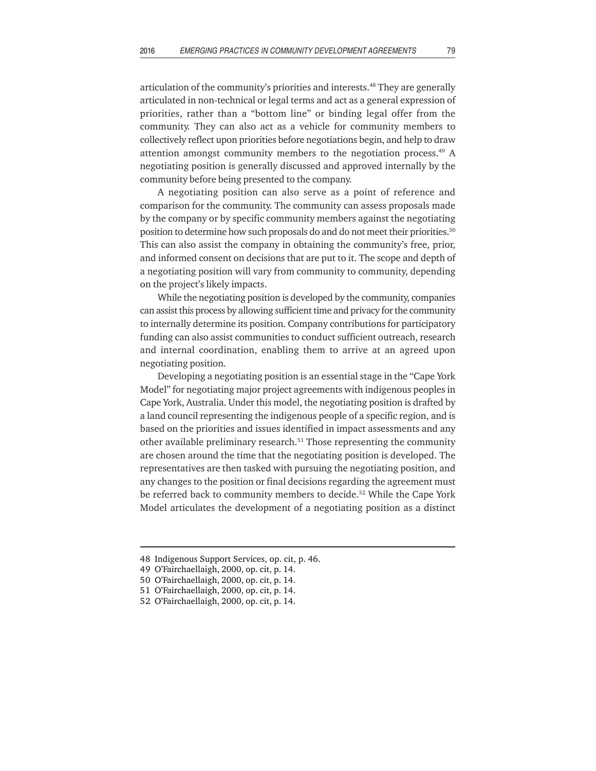articulation of the community's priorities and interests.48 They are generally articulated in non-technical or legal terms and act as a general expression of priorities, rather than a "bottom line" or binding legal offer from the community. They can also act as a vehicle for community members to collectively reflect upon priorities before negotiations begin, and help to draw attention amongst community members to the negotiation process.49 A negotiating position is generally discussed and approved internally by the community before being presented to the company.

A negotiating position can also serve as a point of reference and comparison for the community. The community can assess proposals made by the company or by specific community members against the negotiating position to determine how such proposals do and do not meet their priorities.50 This can also assist the company in obtaining the community's free, prior, and informed consent on decisions that are put to it. The scope and depth of a negotiating position will vary from community to community, depending on the project's likely impacts.

While the negotiating position is developed by the community, companies can assist this process by allowing sufficient time and privacy for the community to internally determine its position. Company contributions for participatory funding can also assist communities to conduct sufficient outreach, research and internal coordination, enabling them to arrive at an agreed upon negotiating position.

Developing a negotiating position is an essential stage in the "Cape York Model" for negotiating major project agreements with indigenous peoples in Cape York, Australia. Under this model, the negotiating position is drafted by a land council representing the indigenous people of a specific region, and is based on the priorities and issues identified in impact assessments and any other available preliminary research.<sup>51</sup> Those representing the community are chosen around the time that the negotiating position is developed. The representatives are then tasked with pursuing the negotiating position, and any changes to the position or final decisions regarding the agreement must be referred back to community members to decide.<sup>52</sup> While the Cape York Model articulates the development of a negotiating position as a distinct

<sup>48</sup> Indigenous Support Services, op. cit, p. 46.

<sup>49</sup> O'Fairchaellaigh, 2000, op. cit, p. 14.

<sup>50</sup> O'Fairchaellaigh, 2000, op. cit, p. 14.

<sup>51</sup> O'Fairchaellaigh, 2000, op. cit, p. 14.

<sup>52</sup> O'Fairchaellaigh, 2000, op. cit, p. 14.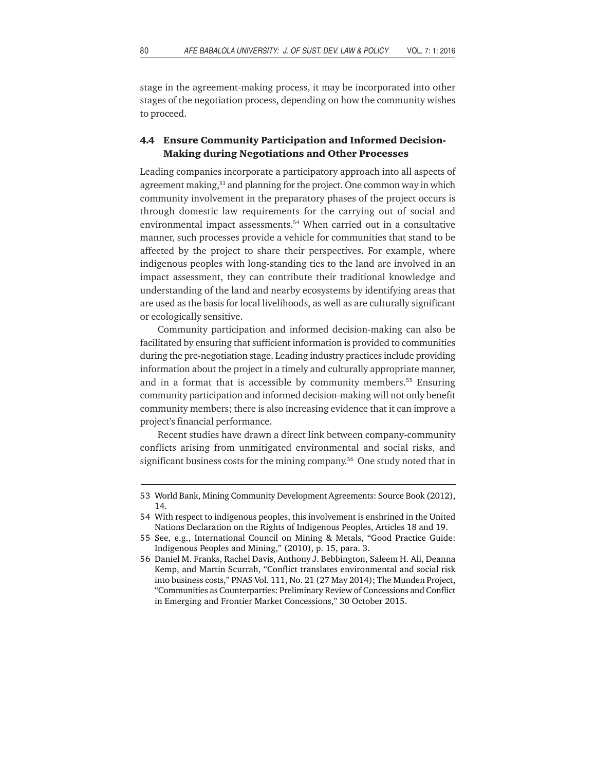stage in the agreement-making process, it may be incorporated into other stages of the negotiation process, depending on how the community wishes to proceed.

## **4.4 Ensure Community Participation and Informed Decision-Making during Negotiations and Other Processes**

Leading companies incorporate a participatory approach into all aspects of agreement making,<sup>53</sup> and planning for the project. One common way in which community involvement in the preparatory phases of the project occurs is through domestic law requirements for the carrying out of social and environmental impact assessments.<sup>54</sup> When carried out in a consultative manner, such processes provide a vehicle for communities that stand to be affected by the project to share their perspectives. For example, where indigenous peoples with long-standing ties to the land are involved in an impact assessment, they can contribute their traditional knowledge and understanding of the land and nearby ecosystems by identifying areas that are used as the basis for local livelihoods, as well as are culturally significant or ecologically sensitive.

Community participation and informed decision-making can also be facilitated by ensuring that sufficient information is provided to communities during the pre-negotiation stage. Leading industry practices include providing information about the project in a timely and culturally appropriate manner, and in a format that is accessible by community members.<sup>55</sup> Ensuring community participation and informed decision-making will not only benefit community members; there is also increasing evidence that it can improve a project's financial performance.

Recent studies have drawn a direct link between company-community conflicts arising from unmitigated environmental and social risks, and significant business costs for the mining company.<sup>56</sup> One study noted that in

<sup>53</sup> World Bank, Mining Community Development Agreements: Source Book (2012), 14.

<sup>54</sup> With respect to indigenous peoples, this involvement is enshrined in the United Nations Declaration on the Rights of Indigenous Peoples, Articles 18 and 19.

<sup>55</sup> See, e.g., International Council on Mining & Metals, "Good Practice Guide: Indigenous Peoples and Mining," (2010), p. 15, para. 3.

<sup>56</sup> Daniel M. Franks, Rachel Davis, Anthony J. Bebbington, Saleem H. Ali, Deanna Kemp, and Martin Scurrah, "Conflict translates environmental and social risk into business costs," PNAS Vol. 111, No. 21 (27 May 2014); The Munden Project, "Communities as Counterparties: Preliminary Review of Concessions and Conflict in Emerging and Frontier Market Concessions," 30 October 2015.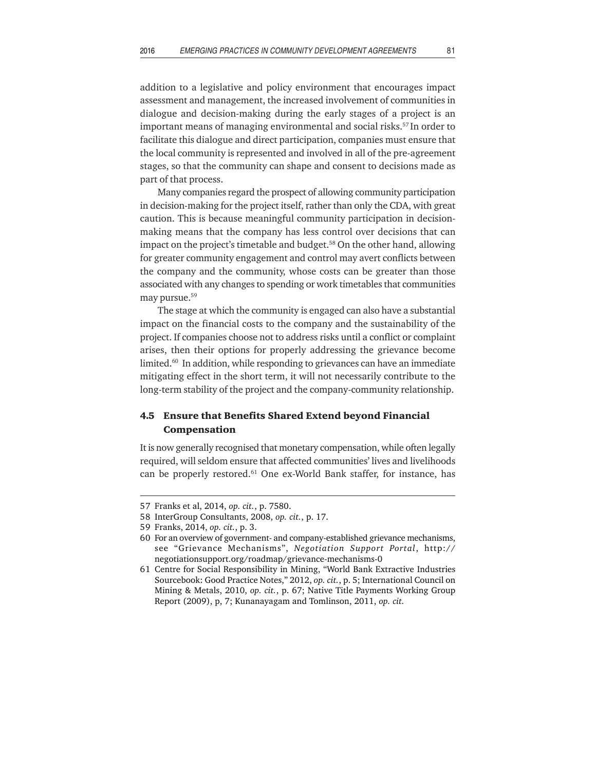addition to a legislative and policy environment that encourages impact assessment and management, the increased involvement of communities in dialogue and decision-making during the early stages of a project is an important means of managing environmental and social risks.<sup>57</sup> In order to facilitate this dialogue and direct participation, companies must ensure that the local community is represented and involved in all of the pre-agreement stages, so that the community can shape and consent to decisions made as part of that process.

Many companies regard the prospect of allowing community participation in decision-making for the project itself, rather than only the CDA, with great caution. This is because meaningful community participation in decisionmaking means that the company has less control over decisions that can impact on the project's timetable and budget.<sup>58</sup> On the other hand, allowing for greater community engagement and control may avert conflicts between the company and the community, whose costs can be greater than those associated with any changes to spending or work timetables that communities may pursue.59

The stage at which the community is engaged can also have a substantial impact on the financial costs to the company and the sustainability of the project. If companies choose not to address risks until a conflict or complaint arises, then their options for properly addressing the grievance become limited.<sup>60</sup> In addition, while responding to grievances can have an immediate mitigating effect in the short term, it will not necessarily contribute to the long-term stability of the project and the company-community relationship.

## **4.5 Ensure that Benefits Shared Extend beyond Financial Compensation**

It is now generally recognised that monetary compensation, while often legally required, will seldom ensure that affected communities' lives and livelihoods can be properly restored.61 One ex-World Bank staffer, for instance, has

<sup>57</sup> Franks et al, 2014, *op. cit.*, p. 7580.

<sup>58</sup> InterGroup Consultants, 2008, *op. cit.*, p. 17.

<sup>59</sup> Franks, 2014, *op. cit.*, p. 3.

<sup>60</sup> For an overview of government- and company-established grievance mechanisms, see "Grievance Mechanisms", *Negotiation Support Portal*, http:// negotiationsupport.org/roadmap/grievance-mechanisms-0

<sup>61</sup> Centre for Social Responsibility in Mining, "World Bank Extractive Industries Sourcebook: Good Practice Notes," 2012, *op. cit.*, p. 5; International Council on Mining & Metals, 2010, *op. cit.*, p. 67; Native Title Payments Working Group Report (2009), p, 7; Kunanayagam and Tomlinson, 2011, *op. cit.*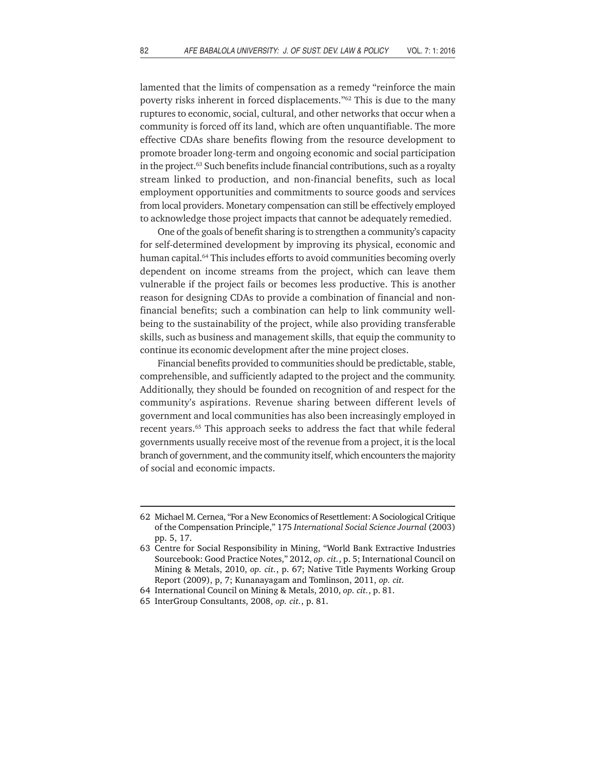lamented that the limits of compensation as a remedy "reinforce the main poverty risks inherent in forced displacements."62 This is due to the many ruptures to economic, social, cultural, and other networks that occur when a community is forced off its land, which are often unquantifiable. The more effective CDAs share benefits flowing from the resource development to promote broader long-term and ongoing economic and social participation in the project.<sup>63</sup> Such benefits include financial contributions, such as a royalty stream linked to production, and non-financial benefits, such as local employment opportunities and commitments to source goods and services from local providers. Monetary compensation can still be effectively employed to acknowledge those project impacts that cannot be adequately remedied.

One of the goals of benefit sharing is to strengthen a community's capacity for self-determined development by improving its physical, economic and human capital.<sup>64</sup> This includes efforts to avoid communities becoming overly dependent on income streams from the project, which can leave them vulnerable if the project fails or becomes less productive. This is another reason for designing CDAs to provide a combination of financial and nonfinancial benefits; such a combination can help to link community wellbeing to the sustainability of the project, while also providing transferable skills, such as business and management skills, that equip the community to continue its economic development after the mine project closes.

Financial benefits provided to communities should be predictable, stable, comprehensible, and sufficiently adapted to the project and the community. Additionally, they should be founded on recognition of and respect for the community's aspirations. Revenue sharing between different levels of government and local communities has also been increasingly employed in recent years.<sup>65</sup> This approach seeks to address the fact that while federal governments usually receive most of the revenue from a project, it is the local branch of government, and the community itself, which encounters the majority of social and economic impacts.

<sup>62</sup> Michael M. Cernea, "For a New Economics of Resettlement: A Sociological Critique of the Compensation Principle," 175 *International Social Science Journal* (2003) pp. 5, 17.

<sup>63</sup> Centre for Social Responsibility in Mining, "World Bank Extractive Industries Sourcebook: Good Practice Notes," 2012, *op. cit.*, p. 5; International Council on Mining & Metals, 2010, *op. cit.*, p. 67; Native Title Payments Working Group Report (2009), p, 7; Kunanayagam and Tomlinson, 2011, *op. cit.*

<sup>64</sup> International Council on Mining & Metals, 2010, *op. cit.*, p. 81.

<sup>65</sup> InterGroup Consultants, 2008, *op. cit.*, p. 81.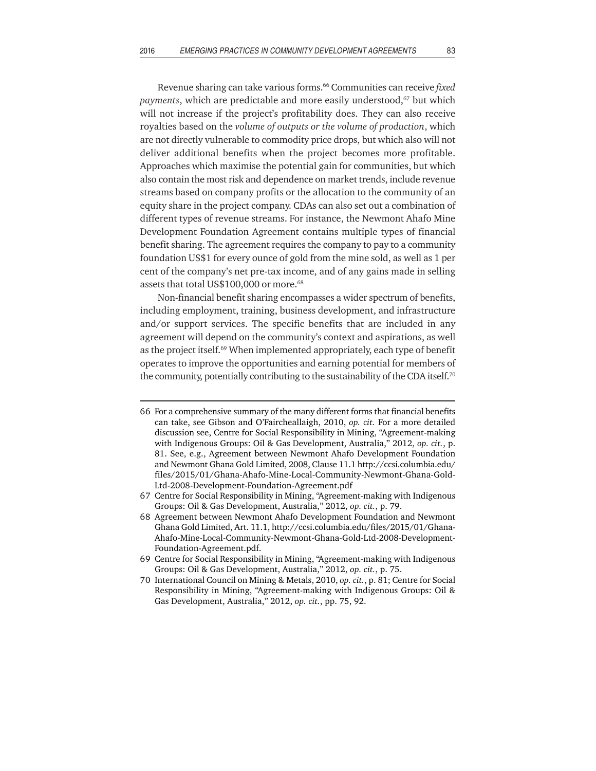Revenue sharing can take various forms.66 Communities can receive *fixed payments*, which are predictable and more easily understood,<sup>67</sup> but which will not increase if the project's profitability does. They can also receive royalties based on the *volume of outputs or the volume of production*, which are not directly vulnerable to commodity price drops, but which also will not deliver additional benefits when the project becomes more profitable. Approaches which maximise the potential gain for communities, but which also contain the most risk and dependence on market trends, include revenue streams based on company profits or the allocation to the community of an equity share in the project company. CDAs can also set out a combination of different types of revenue streams. For instance, the Newmont Ahafo Mine Development Foundation Agreement contains multiple types of financial benefit sharing. The agreement requires the company to pay to a community foundation US\$1 for every ounce of gold from the mine sold, as well as 1 per cent of the company's net pre-tax income, and of any gains made in selling assets that total US\$100,000 or more.<sup>68</sup>

Non-financial benefit sharing encompasses a wider spectrum of benefits, including employment, training, business development, and infrastructure and/or support services. The specific benefits that are included in any agreement will depend on the community's context and aspirations, as well as the project itself.<sup>69</sup> When implemented appropriately, each type of benefit operates to improve the opportunities and earning potential for members of the community, potentially contributing to the sustainability of the CDA itself.<sup>70</sup>

- 66 For a comprehensive summary of the many different forms that financial benefits can take, see Gibson and O'Faircheallaigh, 2010, *op. cit.* For a more detailed discussion see, Centre for Social Responsibility in Mining, "Agreement-making with Indigenous Groups: Oil & Gas Development, Australia," 2012, *op. cit.*, p. 81. See, e.g., Agreement between Newmont Ahafo Development Foundation and Newmont Ghana Gold Limited, 2008, Clause 11.1 http://ccsi.columbia.edu/ files/2015/01/Ghana-Ahafo-Mine-Local-Community-Newmont-Ghana-Gold-Ltd-2008-Development-Foundation-Agreement.pdf
- 67 Centre for Social Responsibility in Mining, "Agreement-making with Indigenous Groups: Oil & Gas Development, Australia," 2012, *op. cit.*, p. 79.
- 68 Agreement between Newmont Ahafo Development Foundation and Newmont Ghana Gold Limited, Art. 11.1, http://ccsi.columbia.edu/files/2015/01/Ghana-Ahafo-Mine-Local-Community-Newmont-Ghana-Gold-Ltd-2008-Development-Foundation-Agreement.pdf.
- 69 Centre for Social Responsibility in Mining, "Agreement-making with Indigenous Groups: Oil & Gas Development, Australia," 2012, *op. cit.*, p. 75.
- 70 International Council on Mining & Metals, 2010, *op. cit.*, p. 81; Centre for Social Responsibility in Mining, "Agreement-making with Indigenous Groups: Oil & Gas Development, Australia," 2012, *op. cit.*, pp. 75, 92.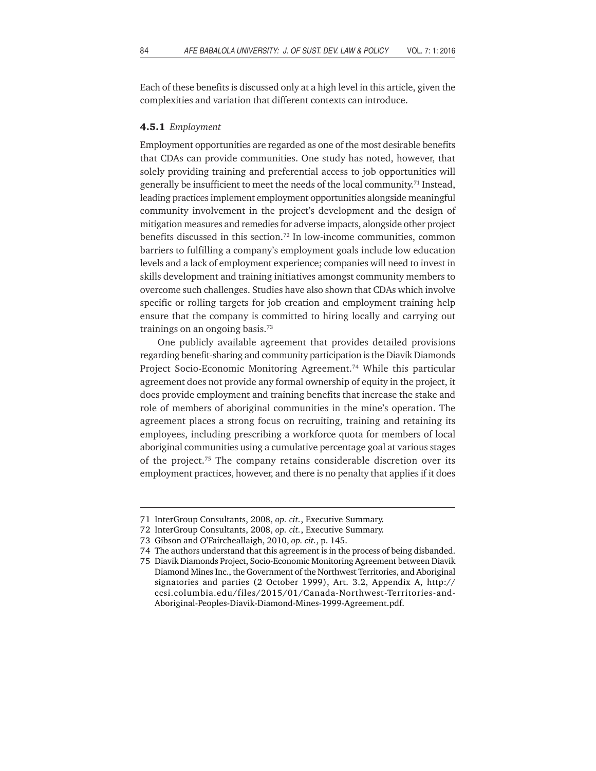Each of these benefits is discussed only at a high level in this article, given the complexities and variation that different contexts can introduce.

#### **4.5.1** *Employment*

Employment opportunities are regarded as one of the most desirable benefits that CDAs can provide communities. One study has noted, however, that solely providing training and preferential access to job opportunities will generally be insufficient to meet the needs of the local community.<sup>71</sup> Instead, leading practices implement employment opportunities alongside meaningful community involvement in the project's development and the design of mitigation measures and remedies for adverse impacts, alongside other project benefits discussed in this section.72 In low-income communities, common barriers to fulfilling a company's employment goals include low education levels and a lack of employment experience; companies will need to invest in skills development and training initiatives amongst community members to overcome such challenges. Studies have also shown that CDAs which involve specific or rolling targets for job creation and employment training help ensure that the company is committed to hiring locally and carrying out trainings on an ongoing basis.73

One publicly available agreement that provides detailed provisions regarding benefit-sharing and community participation is the Diavik Diamonds Project Socio-Economic Monitoring Agreement.<sup>74</sup> While this particular agreement does not provide any formal ownership of equity in the project, it does provide employment and training benefits that increase the stake and role of members of aboriginal communities in the mine's operation. The agreement places a strong focus on recruiting, training and retaining its employees, including prescribing a workforce quota for members of local aboriginal communities using a cumulative percentage goal at various stages of the project.<sup>75</sup> The company retains considerable discretion over its employment practices, however, and there is no penalty that applies if it does

<sup>71</sup> InterGroup Consultants, 2008, *op. cit.*, Executive Summary.

<sup>72</sup> InterGroup Consultants, 2008, *op. cit.*, Executive Summary.

<sup>73</sup> Gibson and O'Faircheallaigh, 2010, *op. cit.*, p. 145.

<sup>74</sup> The authors understand that this agreement is in the process of being disbanded.

<sup>75</sup> Diavik Diamonds Project, Socio-Economic Monitoring Agreement between Diavik Diamond Mines Inc., the Government of the Northwest Territories, and Aboriginal signatories and parties (2 October 1999), Art. 3.2, Appendix A, http:// ccsi.columbia.edu/files/2015/01/Canada-Northwest-Territories-and-Aboriginal-Peoples-Diavik-Diamond-Mines-1999-Agreement.pdf.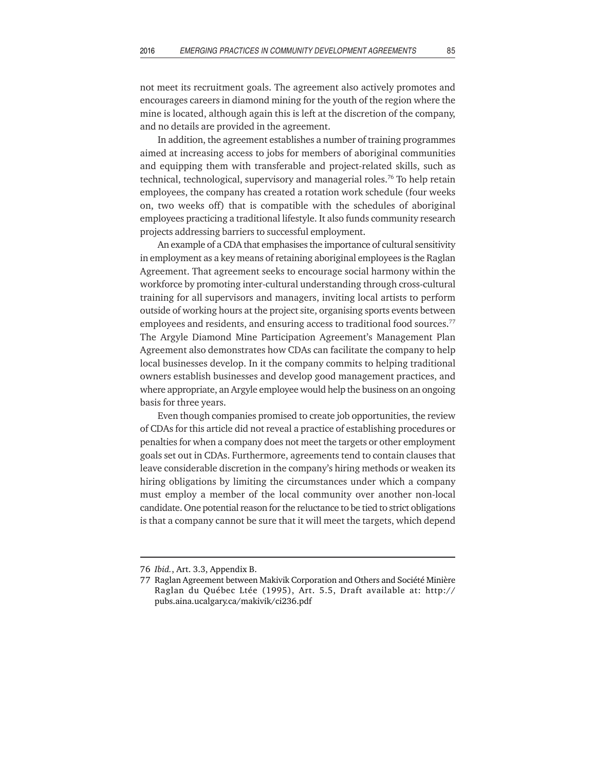not meet its recruitment goals. The agreement also actively promotes and encourages careers in diamond mining for the youth of the region where the mine is located, although again this is left at the discretion of the company, and no details are provided in the agreement.

In addition, the agreement establishes a number of training programmes aimed at increasing access to jobs for members of aboriginal communities and equipping them with transferable and project-related skills, such as technical, technological, supervisory and managerial roles.<sup>76</sup> To help retain employees, the company has created a rotation work schedule (four weeks on, two weeks off) that is compatible with the schedules of aboriginal employees practicing a traditional lifestyle. It also funds community research projects addressing barriers to successful employment.

An example of a CDA that emphasises the importance of cultural sensitivity in employment as a key means of retaining aboriginal employees is the Raglan Agreement. That agreement seeks to encourage social harmony within the workforce by promoting inter-cultural understanding through cross-cultural training for all supervisors and managers, inviting local artists to perform outside of working hours at the project site, organising sports events between employees and residents, and ensuring access to traditional food sources.<sup>77</sup> The Argyle Diamond Mine Participation Agreement's Management Plan Agreement also demonstrates how CDAs can facilitate the company to help local businesses develop. In it the company commits to helping traditional owners establish businesses and develop good management practices, and where appropriate, an Argyle employee would help the business on an ongoing basis for three years.

Even though companies promised to create job opportunities, the review of CDAs for this article did not reveal a practice of establishing procedures or penalties for when a company does not meet the targets or other employment goals set out in CDAs. Furthermore, agreements tend to contain clauses that leave considerable discretion in the company's hiring methods or weaken its hiring obligations by limiting the circumstances under which a company must employ a member of the local community over another non-local candidate. One potential reason for the reluctance to be tied to strict obligations is that a company cannot be sure that it will meet the targets, which depend

<sup>76</sup> *Ibid.*, Art. 3.3, Appendix B.

<sup>77</sup> Raglan Agreement between Makivik Corporation and Others and Société Minière Raglan du Québec Ltée (1995), Art. 5.5, Draft available at: http:// pubs.aina.ucalgary.ca/makivik/ci236.pdf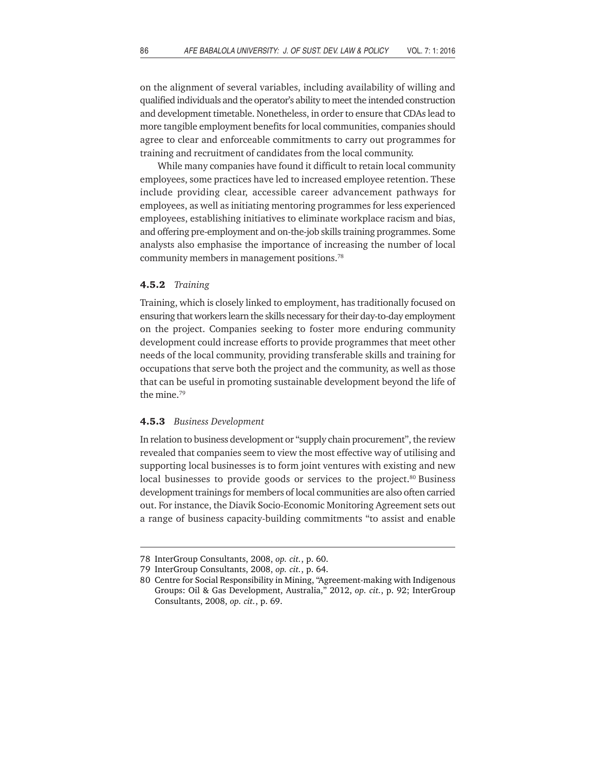on the alignment of several variables, including availability of willing and qualified individuals and the operator's ability to meet the intended construction and development timetable. Nonetheless, in order to ensure that CDAs lead to more tangible employment benefits for local communities, companies should agree to clear and enforceable commitments to carry out programmes for training and recruitment of candidates from the local community.

While many companies have found it difficult to retain local community employees, some practices have led to increased employee retention. These include providing clear, accessible career advancement pathways for employees, as well as initiating mentoring programmes for less experienced employees, establishing initiatives to eliminate workplace racism and bias, and offering pre-employment and on-the-job skills training programmes. Some analysts also emphasise the importance of increasing the number of local community members in management positions.78

#### **4.5.2** *Training*

Training, which is closely linked to employment, has traditionally focused on ensuring that workers learn the skills necessary for their day-to-day employment on the project. Companies seeking to foster more enduring community development could increase efforts to provide programmes that meet other needs of the local community, providing transferable skills and training for occupations that serve both the project and the community, as well as those that can be useful in promoting sustainable development beyond the life of the mine.79

### **4.5.3** *Business Development*

In relation to business development or "supply chain procurement", the review revealed that companies seem to view the most effective way of utilising and supporting local businesses is to form joint ventures with existing and new local businesses to provide goods or services to the project.<sup>80</sup> Business development trainings for members of local communities are also often carried out. For instance, the Diavik Socio-Economic Monitoring Agreement sets out a range of business capacity-building commitments "to assist and enable

<sup>78</sup> InterGroup Consultants, 2008, *op. cit.*, p. 60.

<sup>79</sup> InterGroup Consultants, 2008, *op. cit.*, p. 64.

<sup>80</sup> Centre for Social Responsibility in Mining, "Agreement-making with Indigenous Groups: Oil & Gas Development, Australia," 2012, *op. cit.*, p. 92; InterGroup Consultants, 2008, *op. cit.*, p. 69.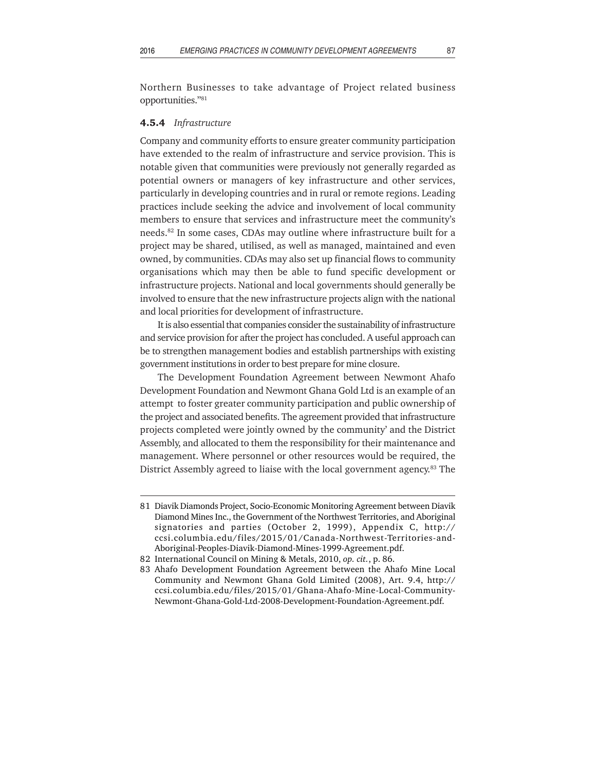Northern Businesses to take advantage of Project related business opportunities."81

### **4.5.4** *Infrastructure*

Company and community efforts to ensure greater community participation have extended to the realm of infrastructure and service provision. This is notable given that communities were previously not generally regarded as potential owners or managers of key infrastructure and other services, particularly in developing countries and in rural or remote regions. Leading practices include seeking the advice and involvement of local community members to ensure that services and infrastructure meet the community's needs.82 In some cases, CDAs may outline where infrastructure built for a project may be shared, utilised, as well as managed, maintained and even owned, by communities. CDAs may also set up financial flows to community organisations which may then be able to fund specific development or infrastructure projects. National and local governments should generally be involved to ensure that the new infrastructure projects align with the national and local priorities for development of infrastructure.

It is also essential that companies consider the sustainability of infrastructure and service provision for after the project has concluded. A useful approach can be to strengthen management bodies and establish partnerships with existing government institutions in order to best prepare for mine closure.

The Development Foundation Agreement between Newmont Ahafo Development Foundation and Newmont Ghana Gold Ltd is an example of an attempt to foster greater community participation and public ownership of the project and associated benefits. The agreement provided that infrastructure projects completed were jointly owned by the community' and the District Assembly, and allocated to them the responsibility for their maintenance and management. Where personnel or other resources would be required, the District Assembly agreed to liaise with the local government agency.<sup>83</sup> The

<sup>81</sup> Diavik Diamonds Project, Socio-Economic Monitoring Agreement between Diavik Diamond Mines Inc., the Government of the Northwest Territories, and Aboriginal signatories and parties (October 2, 1999), Appendix C, http:// ccsi.columbia.edu/files/2015/01/Canada-Northwest-Territories-and-Aboriginal-Peoples-Diavik-Diamond-Mines-1999-Agreement.pdf.

<sup>82</sup> International Council on Mining & Metals, 2010, *op. cit.*, p. 86.

<sup>83</sup> Ahafo Development Foundation Agreement between the Ahafo Mine Local Community and Newmont Ghana Gold Limited (2008), Art. 9.4, http:// ccsi.columbia.edu/files/2015/01/Ghana-Ahafo-Mine-Local-Community-Newmont-Ghana-Gold-Ltd-2008-Development-Foundation-Agreement.pdf.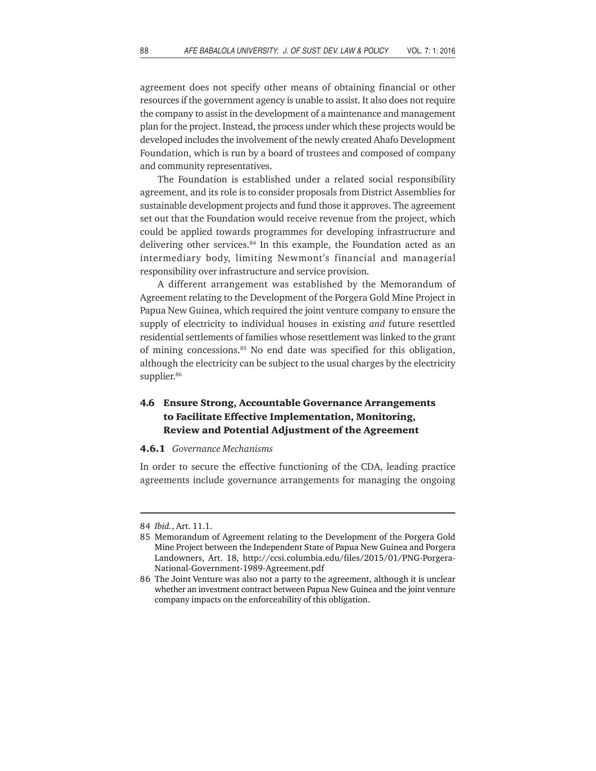agreement does not specify other means of obtaining financial or other resources if the government agency is unable to assist. It also does not require the company to assist in the development of a maintenance and management plan for the project. Instead, the process under which these projects would be developed includes the involvement of the newly created Ahafo Development Foundation, which is run by a board of trustees and composed of company and community representatives.

The Foundation is established under a related social responsibility agreement, and its role is to consider proposals from District Assemblies for sustainable development projects and fund those it approves. The agreement set out that the Foundation would receive revenue from the project, which could be applied towards programmes for developing infrastructure and delivering other services.<sup>84</sup> In this example, the Foundation acted as an intermediary body, limiting Newmont's financial and managerial responsibility over infrastructure and service provision.

A different arrangement was established by the Memorandum of Agreement relating to the Development of the Porgera Gold Mine Project in Papua New Guinea, which required the joint venture company to ensure the supply of electricity to individual houses in existing *and* future resettled residential settlements of families whose resettlement was linked to the grant of mining concessions.85 No end date was specified for this obligation, although the electricity can be subject to the usual charges by the electricity supplier.<sup>86</sup>

# **4.6 Ensure Strong, Accountable Governance Arrangements to Facilitate Effective Implementation, Monitoring, Review and Potential Adjustment of the Agreement**

#### **4.6.1** *Governance Mechanisms*

In order to secure the effective functioning of the CDA, leading practice agreements include governance arrangements for managing the ongoing

<sup>84</sup> *Ibid.*, Art. 11.1.

<sup>85</sup> Memorandum of Agreement relating to the Development of the Porgera Gold Mine Project between the Independent State of Papua New Guinea and Porgera Landowners, Art. 18, http://ccsi.columbia.edu/files/2015/01/PNG-Porgera-National-Government-1989-Agreement.pdf

<sup>86</sup> The Joint Venture was also not a party to the agreement, although it is unclear whether an investment contract between Papua New Guinea and the joint venture company impacts on the enforceability of this obligation.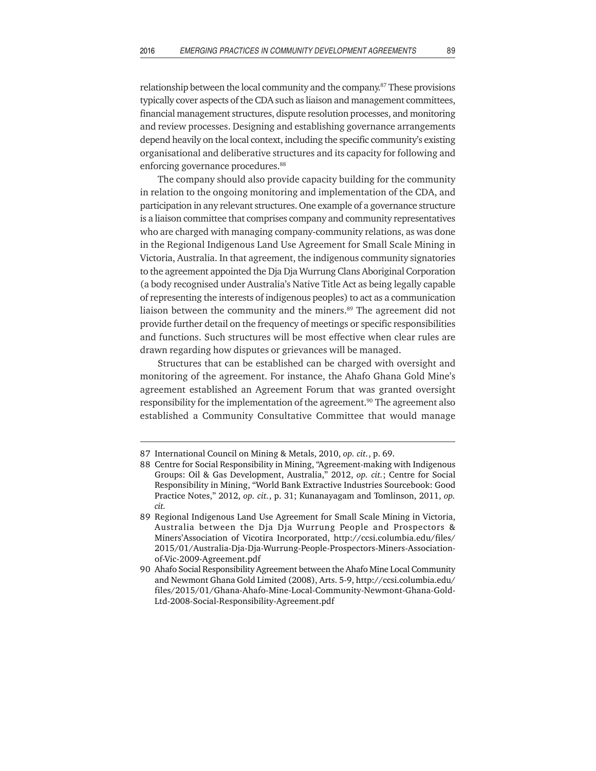relationship between the local community and the company.87 These provisions typically cover aspects of the CDA such as liaison and management committees, financial management structures, dispute resolution processes, and monitoring and review processes. Designing and establishing governance arrangements depend heavily on the local context, including the specific community's existing organisational and deliberative structures and its capacity for following and enforcing governance procedures.<sup>88</sup>

The company should also provide capacity building for the community in relation to the ongoing monitoring and implementation of the CDA, and participation in any relevant structures. One example of a governance structure is a liaison committee that comprises company and community representatives who are charged with managing company-community relations, as was done in the Regional Indigenous Land Use Agreement for Small Scale Mining in Victoria, Australia. In that agreement, the indigenous community signatories to the agreement appointed the Dja Dja Wurrung Clans Aboriginal Corporation (a body recognised under Australia's Native Title Act as being legally capable of representing the interests of indigenous peoples) to act as a communication liaison between the community and the miners.<sup>89</sup> The agreement did not provide further detail on the frequency of meetings or specific responsibilities and functions. Such structures will be most effective when clear rules are drawn regarding how disputes or grievances will be managed.

Structures that can be established can be charged with oversight and monitoring of the agreement. For instance, the Ahafo Ghana Gold Mine's agreement established an Agreement Forum that was granted oversight responsibility for the implementation of the agreement.<sup>90</sup> The agreement also established a Community Consultative Committee that would manage

<sup>87</sup> International Council on Mining & Metals, 2010, *op. cit.*, p. 69.

<sup>88</sup> Centre for Social Responsibility in Mining, "Agreement-making with Indigenous Groups: Oil & Gas Development, Australia," 2012, *op. cit.*; Centre for Social Responsibility in Mining, "World Bank Extractive Industries Sourcebook: Good Practice Notes," 2012, *op. cit.*, p. 31; Kunanayagam and Tomlinson, 2011, *op. cit.*

<sup>89</sup> Regional Indigenous Land Use Agreement for Small Scale Mining in Victoria, Australia between the Dja Dja Wurrung People and Prospectors & Miners'Association of Vicotira Incorporated, http://ccsi.columbia.edu/files/ 2015/01/Australia-Dja-Dja-Wurrung-People-Prospectors-Miners-Associationof-Vic-2009-Agreement.pdf

<sup>90</sup> Ahafo Social Responsibility Agreement between the Ahafo Mine Local Community and Newmont Ghana Gold Limited (2008), Arts. 5-9, http://ccsi.columbia.edu/ files/2015/01/Ghana-Ahafo-Mine-Local-Community-Newmont-Ghana-Gold-Ltd-2008-Social-Responsibility-Agreement.pdf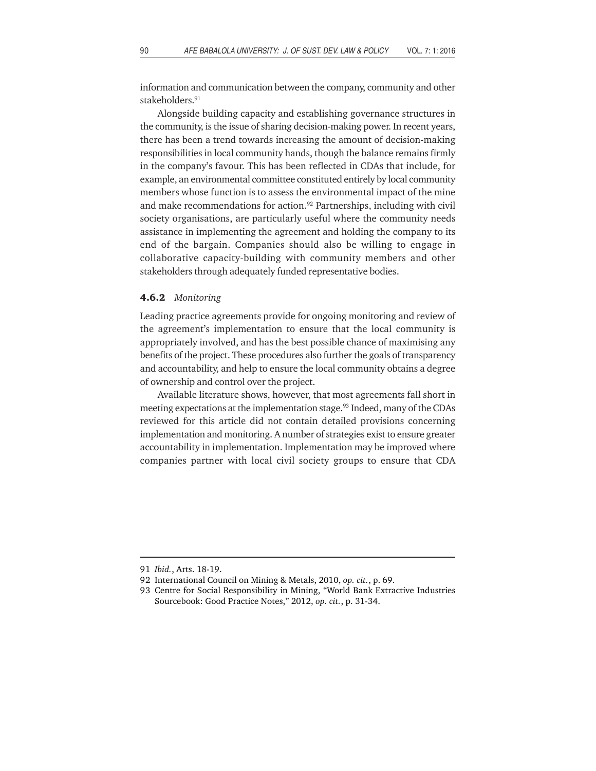information and communication between the company, community and other stakeholders.<sup>91</sup>

Alongside building capacity and establishing governance structures in the community, is the issue of sharing decision-making power. In recent years, there has been a trend towards increasing the amount of decision-making responsibilities in local community hands, though the balance remains firmly in the company's favour. This has been reflected in CDAs that include, for example, an environmental committee constituted entirely by local community members whose function is to assess the environmental impact of the mine and make recommendations for action.<sup>92</sup> Partnerships, including with civil society organisations, are particularly useful where the community needs assistance in implementing the agreement and holding the company to its end of the bargain. Companies should also be willing to engage in collaborative capacity-building with community members and other stakeholders through adequately funded representative bodies.

#### **4.6.2** *Monitoring*

Leading practice agreements provide for ongoing monitoring and review of the agreement's implementation to ensure that the local community is appropriately involved, and has the best possible chance of maximising any benefits of the project. These procedures also further the goals of transparency and accountability, and help to ensure the local community obtains a degree of ownership and control over the project.

Available literature shows, however, that most agreements fall short in meeting expectations at the implementation stage.<sup>93</sup> Indeed, many of the CDAs reviewed for this article did not contain detailed provisions concerning implementation and monitoring. A number of strategies exist to ensure greater accountability in implementation. Implementation may be improved where companies partner with local civil society groups to ensure that CDA

<sup>91</sup> *Ibid.*, Arts. 18-19.

<sup>92</sup> International Council on Mining & Metals, 2010, *op. cit.*, p. 69.

<sup>93</sup> Centre for Social Responsibility in Mining, "World Bank Extractive Industries Sourcebook: Good Practice Notes," 2012, *op. cit.*, p. 31-34.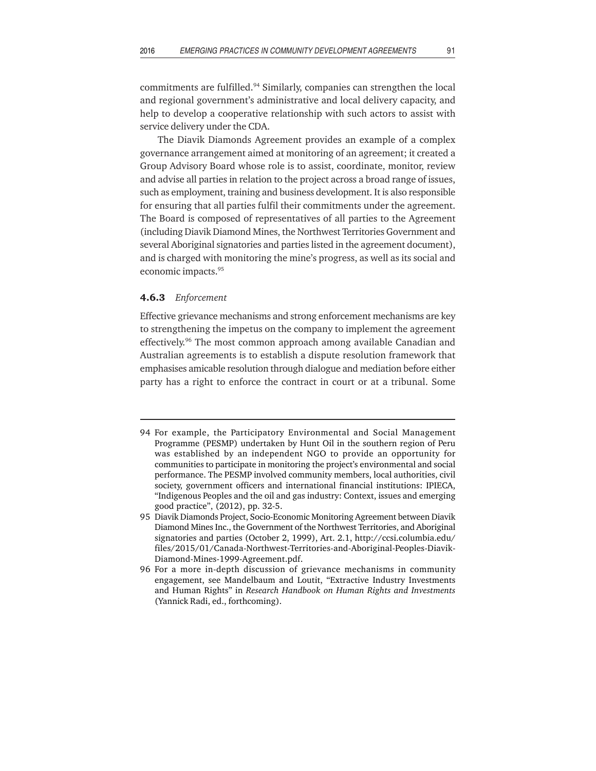commitments are fulfilled.94 Similarly, companies can strengthen the local and regional government's administrative and local delivery capacity, and help to develop a cooperative relationship with such actors to assist with service delivery under the CDA.

The Diavik Diamonds Agreement provides an example of a complex governance arrangement aimed at monitoring of an agreement; it created a Group Advisory Board whose role is to assist, coordinate, monitor, review and advise all parties in relation to the project across a broad range of issues, such as employment, training and business development. It is also responsible for ensuring that all parties fulfil their commitments under the agreement. The Board is composed of representatives of all parties to the Agreement (including Diavik Diamond Mines, the Northwest Territories Government and several Aboriginal signatories and parties listed in the agreement document), and is charged with monitoring the mine's progress, as well as its social and economic impacts.95

#### **4.6.3** *Enforcement*

Effective grievance mechanisms and strong enforcement mechanisms are key to strengthening the impetus on the company to implement the agreement effectively.<sup>96</sup> The most common approach among available Canadian and Australian agreements is to establish a dispute resolution framework that emphasises amicable resolution through dialogue and mediation before either party has a right to enforce the contract in court or at a tribunal. Some

<sup>94</sup> For example, the Participatory Environmental and Social Management Programme (PESMP) undertaken by Hunt Oil in the southern region of Peru was established by an independent NGO to provide an opportunity for communities to participate in monitoring the project's environmental and social performance. The PESMP involved community members, local authorities, civil society, government officers and international financial institutions: IPIECA, "Indigenous Peoples and the oil and gas industry: Context, issues and emerging good practice", (2012), pp. 32-5.

<sup>95</sup> Diavik Diamonds Project, Socio-Economic Monitoring Agreement between Diavik Diamond Mines Inc., the Government of the Northwest Territories, and Aboriginal signatories and parties (October 2, 1999), Art. 2.1, http://ccsi.columbia.edu/ files/2015/01/Canada-Northwest-Territories-and-Aboriginal-Peoples-Diavik-Diamond-Mines-1999-Agreement.pdf.

<sup>96</sup> For a more in-depth discussion of grievance mechanisms in community engagement, see Mandelbaum and Loutit, "Extractive Industry Investments and Human Rights" in *Research Handbook on Human Rights and Investments* (Yannick Radi, ed., forthcoming).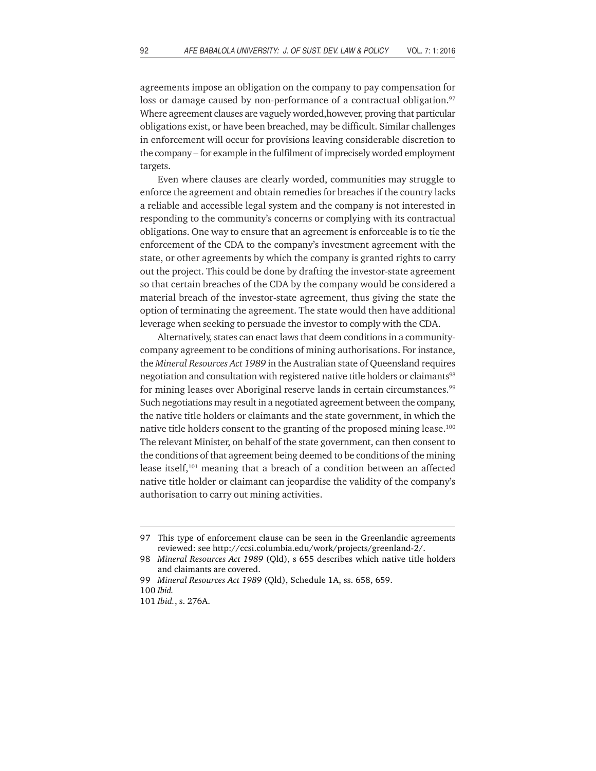agreements impose an obligation on the company to pay compensation for loss or damage caused by non-performance of a contractual obligation.<sup>97</sup> Where agreement clauses are vaguely worded,however, proving that particular obligations exist, or have been breached, may be difficult. Similar challenges in enforcement will occur for provisions leaving considerable discretion to the company – for example in the fulfilment of imprecisely worded employment targets.

Even where clauses are clearly worded, communities may struggle to enforce the agreement and obtain remedies for breaches if the country lacks a reliable and accessible legal system and the company is not interested in responding to the community's concerns or complying with its contractual obligations. One way to ensure that an agreement is enforceable is to tie the enforcement of the CDA to the company's investment agreement with the state, or other agreements by which the company is granted rights to carry out the project. This could be done by drafting the investor-state agreement so that certain breaches of the CDA by the company would be considered a material breach of the investor-state agreement, thus giving the state the option of terminating the agreement. The state would then have additional leverage when seeking to persuade the investor to comply with the CDA.

Alternatively, states can enact laws that deem conditions in a communitycompany agreement to be conditions of mining authorisations. For instance, the *Mineral Resources Act 1989* in the Australian state of Queensland requires negotiation and consultation with registered native title holders or claimants<sup>98</sup> for mining leases over Aboriginal reserve lands in certain circumstances.<sup>99</sup> Such negotiations may result in a negotiated agreement between the company, the native title holders or claimants and the state government, in which the native title holders consent to the granting of the proposed mining lease.<sup>100</sup> The relevant Minister, on behalf of the state government, can then consent to the conditions of that agreement being deemed to be conditions of the mining lease itself,<sup>101</sup> meaning that a breach of a condition between an affected native title holder or claimant can jeopardise the validity of the company's authorisation to carry out mining activities.

<sup>97</sup> This type of enforcement clause can be seen in the Greenlandic agreements reviewed: see http://ccsi.columbia.edu/work/projects/greenland-2/.

<sup>98</sup> *Mineral Resources Act 1989* (Qld), s 655 describes which native title holders and claimants are covered.

<sup>99</sup> *Mineral Resources Act 1989* (Qld), Schedule 1A, ss. 658, 659.

<sup>100</sup> *Ibid.*

<sup>101</sup> *Ibid.*, s. 276A.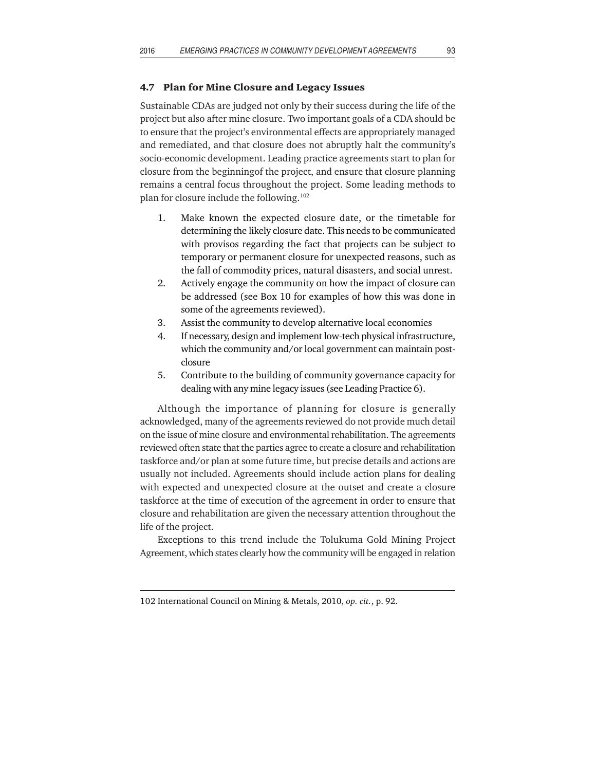#### **4.7 Plan for Mine Closure and Legacy Issues**

Sustainable CDAs are judged not only by their success during the life of the project but also after mine closure. Two important goals of a CDA should be to ensure that the project's environmental effects are appropriately managed and remediated, and that closure does not abruptly halt the community's socio-economic development. Leading practice agreements start to plan for closure from the beginningof the project, and ensure that closure planning remains a central focus throughout the project. Some leading methods to plan for closure include the following.102

- 1. Make known the expected closure date, or the timetable for determining the likely closure date. This needs to be communicated with provisos regarding the fact that projects can be subject to temporary or permanent closure for unexpected reasons, such as the fall of commodity prices, natural disasters, and social unrest.
- 2. Actively engage the community on how the impact of closure can be addressed (see Box 10 for examples of how this was done in some of the agreements reviewed).
- 3. Assist the community to develop alternative local economies
- 4. If necessary, design and implement low-tech physical infrastructure, which the community and/or local government can maintain postclosure
- 5. Contribute to the building of community governance capacity for dealing with any mine legacy issues (see Leading Practice 6).

Although the importance of planning for closure is generally acknowledged, many of the agreements reviewed do not provide much detail on the issue of mine closure and environmental rehabilitation. The agreements reviewed often state that the parties agree to create a closure and rehabilitation taskforce and/or plan at some future time, but precise details and actions are usually not included. Agreements should include action plans for dealing with expected and unexpected closure at the outset and create a closure taskforce at the time of execution of the agreement in order to ensure that closure and rehabilitation are given the necessary attention throughout the life of the project.

Exceptions to this trend include the Tolukuma Gold Mining Project Agreement, which states clearly how the community will be engaged in relation

<sup>102</sup> International Council on Mining & Metals, 2010, *op. cit.*, p. 92.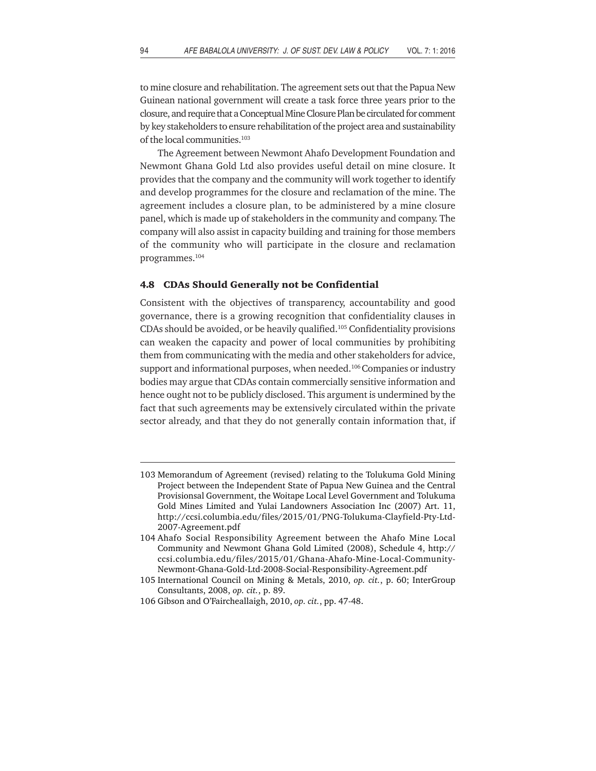to mine closure and rehabilitation. The agreement sets out that the Papua New Guinean national government will create a task force three years prior to the closure, and require that a Conceptual Mine Closure Plan be circulated for comment by key stakeholders to ensure rehabilitation of the project area and sustainability of the local communities.<sup>103</sup>

The Agreement between Newmont Ahafo Development Foundation and Newmont Ghana Gold Ltd also provides useful detail on mine closure. It provides that the company and the community will work together to identify and develop programmes for the closure and reclamation of the mine. The agreement includes a closure plan, to be administered by a mine closure panel, which is made up of stakeholders in the community and company. The company will also assist in capacity building and training for those members of the community who will participate in the closure and reclamation programmes.104

### **4.8 CDAs Should Generally not be Confidential**

Consistent with the objectives of transparency, accountability and good governance, there is a growing recognition that confidentiality clauses in CDAs should be avoided, or be heavily qualified.<sup>105</sup> Confidentiality provisions can weaken the capacity and power of local communities by prohibiting them from communicating with the media and other stakeholders for advice, support and informational purposes, when needed.<sup>106</sup> Companies or industry bodies may argue that CDAs contain commercially sensitive information and hence ought not to be publicly disclosed. This argument is undermined by the fact that such agreements may be extensively circulated within the private sector already, and that they do not generally contain information that, if

<sup>103</sup> Memorandum of Agreement (revised) relating to the Tolukuma Gold Mining Project between the Independent State of Papua New Guinea and the Central Provisionsal Government, the Woitape Local Level Government and Tolukuma Gold Mines Limited and Yulai Landowners Association Inc (2007) Art. 11, http://ccsi.columbia.edu/files/2015/01/PNG-Tolukuma-Clayfield-Pty-Ltd-2007-Agreement.pdf

<sup>104</sup> Ahafo Social Responsibility Agreement between the Ahafo Mine Local Community and Newmont Ghana Gold Limited (2008), Schedule 4, http:// ccsi.columbia.edu/files/2015/01/Ghana-Ahafo-Mine-Local-Community-Newmont-Ghana-Gold-Ltd-2008-Social-Responsibility-Agreement.pdf

<sup>105</sup> International Council on Mining & Metals, 2010, *op. cit.*, p. 60; InterGroup Consultants, 2008, *op. cit.*, p. 89.

<sup>106</sup> Gibson and O'Faircheallaigh, 2010, *op. cit.*, pp. 47-48.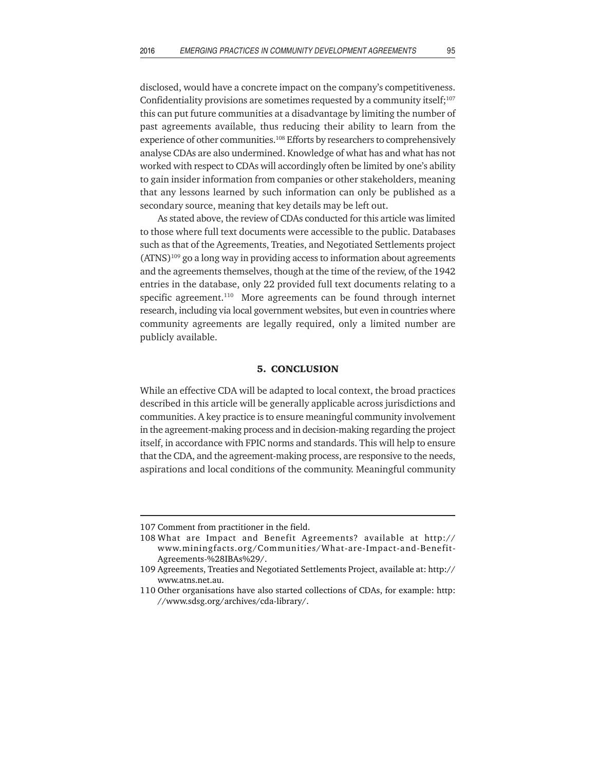disclosed, would have a concrete impact on the company's competitiveness. Confidentiality provisions are sometimes requested by a community itself;<sup>107</sup> this can put future communities at a disadvantage by limiting the number of past agreements available, thus reducing their ability to learn from the experience of other communities.<sup>108</sup> Efforts by researchers to comprehensively analyse CDAs are also undermined. Knowledge of what has and what has not worked with respect to CDAs will accordingly often be limited by one's ability to gain insider information from companies or other stakeholders, meaning that any lessons learned by such information can only be published as a secondary source, meaning that key details may be left out.

As stated above, the review of CDAs conducted for this article was limited to those where full text documents were accessible to the public. Databases such as that of the Agreements, Treaties, and Negotiated Settlements project  $(ATNS)^{109}$  go a long way in providing access to information about agreements and the agreements themselves, though at the time of the review, of the 1942 entries in the database, only 22 provided full text documents relating to a specific agreement.<sup>110</sup> More agreements can be found through internet research, including via local government websites, but even in countries where community agreements are legally required, only a limited number are publicly available.

### **5. CONCLUSION**

While an effective CDA will be adapted to local context, the broad practices described in this article will be generally applicable across jurisdictions and communities. A key practice is to ensure meaningful community involvement in the agreement-making process and in decision-making regarding the project itself, in accordance with FPIC norms and standards. This will help to ensure that the CDA, and the agreement-making process, are responsive to the needs, aspirations and local conditions of the community. Meaningful community

<sup>107</sup> Comment from practitioner in the field.

<sup>108</sup> What are Impact and Benefit Agreements? available at http:// www.miningfacts.org/Communities/What-are-Impact-and-Benefit-Agreements-%28IBAs%29/.

<sup>109</sup> Agreements, Treaties and Negotiated Settlements Project, available at: http:// www.atns.net.au.

<sup>110</sup> Other organisations have also started collections of CDAs, for example: http: //www.sdsg.org/archives/cda-library/.